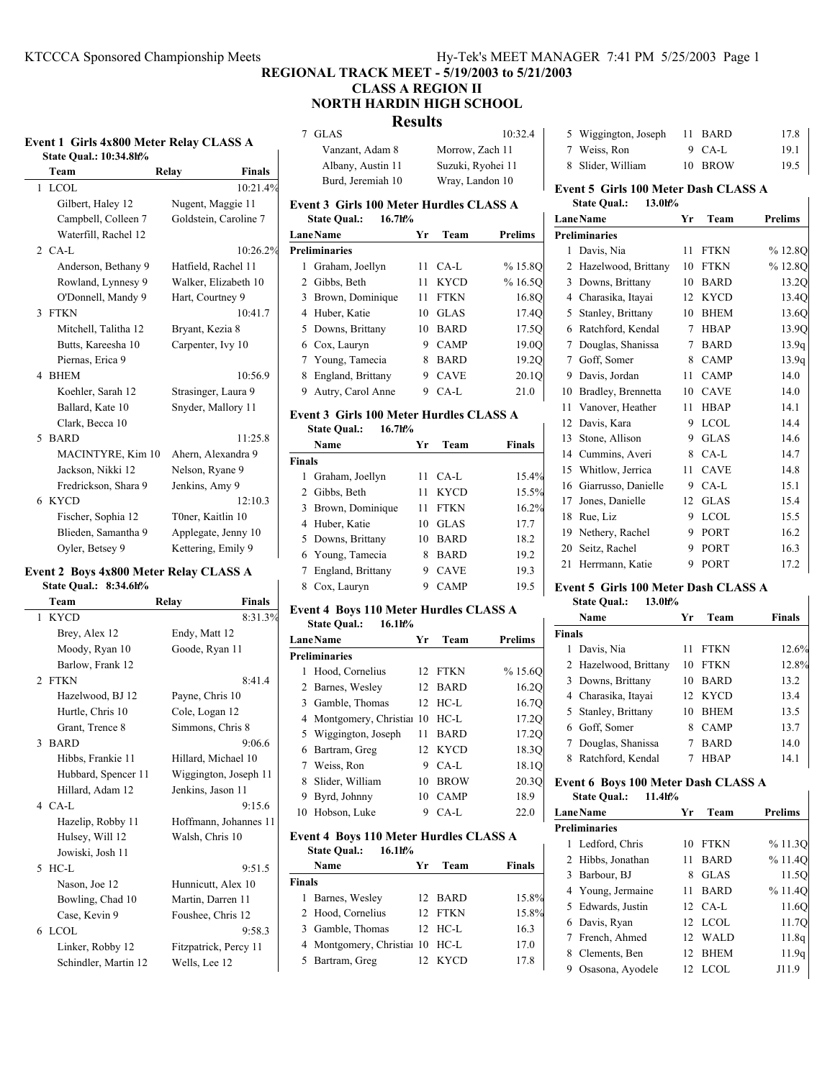## **REGIONAL TRACK MEET - 5/19/2003 to 5/21/2003 CLASS A REGION II**

## **NORTH HARDIN HIGH SCHOOL**

## **Results**

| Event 1 Girls 4x800 Meter Relay CLASS A |                               |  |  |
|-----------------------------------------|-------------------------------|--|--|
|                                         | <b>State Oual.: 10:34.8h%</b> |  |  |

 $\overline{\phantom{a}}$ 

| Team                        | <b>Finals</b><br>Relay |  |
|-----------------------------|------------------------|--|
| <b>LCOL</b><br>$\mathbf{1}$ | 10:21.4%               |  |
| Gilbert, Haley 12           | Nugent, Maggie 11      |  |
| Campbell, Colleen 7         | Goldstein, Caroline 7  |  |
| Waterfill, Rachel 12        |                        |  |
| $2$ CA-L                    | 10:26.2%               |  |
| Anderson, Bethany 9         | Hatfield, Rachel 11    |  |
| Rowland, Lynnesy 9          | Walker, Elizabeth 10   |  |
| O'Donnell, Mandy 9          | Hart, Courtney 9       |  |
| 3 FTKN                      | 10:41.7                |  |
| Mitchell, Talitha 12        | Bryant, Kezia 8        |  |
| Butts, Kareesha 10          | Carpenter, Ivy 10      |  |
| Piernas, Erica 9            |                        |  |
| <b>BHEM</b><br>4            | 10:56.9                |  |
| Koehler, Sarah 12           | Strasinger, Laura 9    |  |
| Ballard, Kate 10            | Snyder, Mallory 11     |  |
| Clark, Becca 10             |                        |  |
| <b>BARD</b><br>5            | 11:25.8                |  |
| MACINTYRE, Kim 10           | Ahern, Alexandra 9     |  |
| Jackson, Nikki 12           | Nelson, Ryane 9        |  |
| Fredrickson, Shara 9        | Jenkins, Amy 9         |  |
| <b>KYCD</b><br>6            | 12:10.3                |  |
| Fischer, Sophia 12          | T0ner, Kaitlin 10      |  |
| Blieden, Samantha 9         | Applegate, Jenny 10    |  |
| Oyler, Betsey 9             | Kettering, Emily 9     |  |

# **Event 2 Boys 4x800 Meter Relay CLASS A**

# **State Qual.: 8:34.6h%**

| Team                         | Relay<br><b>Finals</b> |
|------------------------------|------------------------|
| 1 KYCD                       | 8:31.3%                |
| Brey, Alex 12                | Endy, Matt 12          |
| Moody, Ryan 10               | Goode, Ryan 11         |
| Barlow, Frank 12             |                        |
| 2 FTKN                       | 8:41.4                 |
| Hazelwood, BJ 12             | Payne, Chris 10        |
| Hurtle, Chris 10             | Cole, Logan 12         |
| Grant, Trence 8              | Simmons, Chris 8       |
| <b>BARD</b><br>$\mathcal{E}$ | 9:06.6                 |
| Hibbs, Frankie 11            | Hillard, Michael 10    |
| Hubbard, Spencer 11          | Wiggington, Joseph 11  |
| Hillard, Adam 12             | Jenkins, Jason 11      |
| $4$ CA-L                     | 9:15.6                 |
| Hazelip, Robby 11            | Hoffmann, Johannes 11  |
| Hulsey, Will 12              | Walsh, Chris 10        |
| Jowiski, Josh 11             |                        |
| $5$ HC-L                     | 9:51.5                 |
| Nason, Joe 12                | Hunnicutt, Alex 10     |
| Bowling, Chad 10             | Martin, Darren 11      |
| Case, Kevin 9                | Foushee, Chris 12      |
| 6 LCOL                       | 9:58.3                 |
| Linker, Robby 12             | Fitzpatrick, Percy 11  |
| Schindler, Martin 12         | Wells, Lee 12          |

| 7 GLAS                                                         | $10-32.4$         |
|----------------------------------------------------------------|-------------------|
| Vanzant, Adam 8                                                | Morrow, Zach 11   |
| Albany, Austin 11                                              | Suzuki, Ryohei 11 |
| Burd, Jeremiah 10                                              | Wray, Landon 10   |
| Event 3 Girls 100 Meter Hurdles CLASS A<br>State Qual.: 16.7h% |                   |

| <b>LaneName</b>        | Vr | Team        | Prelims |
|------------------------|----|-------------|---------|
| <b>Preliminaries</b>   |    |             |         |
| 1 Graham, Joellyn      | 11 | $CA-I$      | %15.8O  |
| 2 Gibbs, Beth          | 11 | <b>KYCD</b> | %16.50  |
| 3 Brown, Dominique     | 11 | <b>FTKN</b> | 16.8O   |
| 4 Huber, Katie         | 10 | <b>GLAS</b> | 17.4Q   |
| 5 Downs, Brittany      | 10 | <b>BARD</b> | 17.5O   |
| 6 Cox, Lauryn          | 9  | CAMP        | 19.0O   |
| 7 Young, Tamecia       | 8  | <b>BARD</b> | 19.2Q   |
| England, Brittany<br>8 | 9  | <b>CAVE</b> | 20.1Q   |
| Autry, Carol Anne<br>9 | 9  | CA-L        | 21.0    |

## **Event 3 Girls 100 Meter Hurdles CLASS A**

|               | 16.7h%<br><b>State Qual.:</b> |    |             |               |
|---------------|-------------------------------|----|-------------|---------------|
|               | Name                          | Уr | Team        | <b>Finals</b> |
| <b>Finals</b> |                               |    |             |               |
| 1             | Graham, Joellyn               | 11 | CA-L        | 15.4%         |
|               | 2 Gibbs, Beth                 | 11 | <b>KYCD</b> | 15.5%         |
|               | 3 Brown, Dominique            | 11 | <b>FTKN</b> | 16.2%         |
|               | 4 Huber, Katie                | 10 | <b>GLAS</b> | 17.7          |
|               | 5 Downs, Brittany             | 10 | <b>BARD</b> | 18.2          |
|               | 6 Young, Tamecia              | 8  | <b>BARD</b> | 19.2          |
|               | 7 England, Brittany           | 9  | <b>CAVE</b> | 19.3          |
| 8             | Cox, Lauryn                   |    | <b>CAMP</b> | 19.5          |

## **Event 4 Boys 110 Meter Hurdles CLASS A State Qual.: 16.1h%**

| LaneName |                                 | Уr | Team        | Prelims |
|----------|---------------------------------|----|-------------|---------|
|          | <b>Preliminaries</b>            |    |             |         |
| 1        | Hood, Cornelius                 |    | 12 FTKN     | %15.6O  |
|          | 2 Barnes, Wesley                |    | 12 BARD     | 16.20   |
|          | 3 Gamble, Thomas                |    | 12 HC-L     | 16.7Q   |
|          | 4 Montgomery, Christian 10 HC-L |    |             | 17.2Q   |
|          | 5 Wiggington, Joseph            | 11 | <b>BARD</b> | 17.2Q   |
|          | 6 Bartram, Greg                 |    | 12 KYCD     | 18.3O   |
|          | 7 Weiss, Ron                    | 9  | $CA-I$      | 18.1Q   |
| 8        | Slider, William                 | 10 | <b>BROW</b> | 20.30   |
| 9        | Byrd, Johnny                    | 10 | <b>CAMP</b> | 18.9    |
|          | 10 Hobson, Luke                 | 9  | CA-L        | 22.0    |

## **Event 4 Boys 110 Meter Hurdles CLASS A State Qual.: 16.1h%**

|               | Name                            | Yг | Team      | <b>Finals</b> |
|---------------|---------------------------------|----|-----------|---------------|
| <b>Finals</b> |                                 |    |           |               |
|               | 1 Barnes, Wesley                |    | 12 BARD   | 15.8%         |
|               | 2 Hood, Cornelius               |    | 12 FTKN   | 15.8%         |
|               | 3 Gamble, Thomas                |    | $12$ HC-L | 16.3          |
|               | 4 Montgomery, Christian 10 HC-L |    |           | 17.0          |
|               | 5 Bartram, Greg                 |    | 12 KYCD   | 17.8          |
|               |                                 |    |           |               |

| 5 Wiggington, Joseph | 11 BARD  | 17.8 |
|----------------------|----------|------|
| 7 Weiss, Ron         | $9$ CA-L | 19.1 |
| 8 Slider, William    | 10 BROW  | 19.5 |

# **Event 5 Girls 100 Meter Dash CLASS A**

| EVEIL 5 GIFTS TOO METER DASH CLASS A |                               |    |             |                |
|--------------------------------------|-------------------------------|----|-------------|----------------|
|                                      | 13.0h%<br><b>State Qual.:</b> |    |             |                |
|                                      | <b>LaneName</b>               | Yr | Team        | <b>Prelims</b> |
|                                      | <b>Preliminaries</b>          |    |             |                |
| 1                                    | Davis, Nia                    | 11 | <b>FTKN</b> | % 12.8Q        |
| 2                                    | Hazelwood, Brittany           | 10 | <b>FTKN</b> | %12.8O         |
| 3                                    | Downs, Brittany               | 10 | <b>BARD</b> | 13.2Q          |
| 4                                    | Charasika, Itayai             | 12 | <b>KYCD</b> | 13.4O          |
| 5                                    | Stanley, Brittany             | 10 | <b>BHEM</b> | 13.6Q          |
| 6                                    | Ratchford, Kendal             | 7  | <b>HBAP</b> | 13.9Q          |
| 7                                    | Douglas, Shanissa             | 7  | <b>BARD</b> | 13.9q          |
| 7                                    | Goff, Somer                   | 8  | <b>CAMP</b> | 13.9q          |
| 9                                    | Davis, Jordan                 | 11 | <b>CAMP</b> | 14.0           |
| 10                                   | Bradley, Brennetta            | 10 | <b>CAVE</b> | 14.0           |
| 11                                   | Vanover, Heather              | 11 | <b>HBAP</b> | 14.1           |
| 12                                   | Davis, Kara                   | 9  | <b>LCOL</b> | 14.4           |
| 13                                   | Stone, Allison                | 9  | <b>GLAS</b> | 14.6           |
| 14                                   | Cummins, Averi                | 8  | $CA-L$      | 14.7           |
| 15                                   | Whitlow, Jerrica              | 11 | <b>CAVE</b> | 14.8           |
| 16                                   | Giarrusso, Danielle           | 9  | $CA-L$      | 15.1           |
| 17                                   | Jones, Danielle               | 12 | <b>GLAS</b> | 15.4           |
| 18                                   | Rue, Liz                      | 9  | <b>LCOL</b> | 15.5           |
| 19                                   | Nethery, Rachel               | 9  | PORT        | 16.2           |
| 20                                   | Seitz, Rachel                 | 9  | PORT        | 16.3           |

## **Event 5 Girls 100 Meter Dash CLASS A State Qual.: 13.0h%**

21 Herrmann, Katie 9 PORT 17.2

|        | Name                  | <b>Yr</b> | Team        | <b>Finals</b> |
|--------|-----------------------|-----------|-------------|---------------|
| Finals |                       |           |             |               |
| 1      | Davis, Nia            | 11        | <b>FTKN</b> | 12.6%         |
|        | 2 Hazelwood, Brittany | 10        | <b>FTKN</b> | 12.8%         |
|        | 3 Downs, Brittany     | 10        | <b>BARD</b> | 13.2          |
|        | 4 Charasika, Itayai   |           | 12 KYCD     | 13.4          |
|        | 5 Stanley, Brittany   | 10        | <b>BHEM</b> | 13.5          |
|        | 6 Goff, Somer         | 8         | <b>CAMP</b> | 13.7          |
|        | 7 Douglas, Shanissa   |           | <b>BARD</b> | 14.0          |
| 8      | Ratchford, Kendal     |           | <b>HRAP</b> | 14.1          |
|        |                       |           |             |               |

## **Event 6 Boys 100 Meter Dash CLASS A**

|   | 11.4h%<br><b>State Qual.:</b> |    |                   |                |
|---|-------------------------------|----|-------------------|----------------|
|   | LaneName                      | Yr | Team              | <b>Prelims</b> |
|   | <b>Preliminaries</b>          |    |                   |                |
|   | 1 Ledford, Chris              | 10 | <b>FTKN</b>       | %11.30         |
|   | 2 Hibbs, Jonathan             | 11 | <b>BARD</b>       | % 11.40        |
|   | 3 Barbour, BJ                 | 8  | <b>GLAS</b>       | 11.5O          |
|   | 4 Young, Jermaine             | 11 | <b>BARD</b>       | % 11.40        |
|   | 5 Edwards, Justin             |    | $12 \text{ CA-L}$ | 11.6O          |
|   | 6 Davis, Ryan                 |    | 12 LCOL           | 11.7Q          |
|   | 7 French, Ahmed               |    | 12 WALD           | 11.8q          |
| 8 | Clements, Ben                 |    | 12 BHEM           | 11.9q          |
| 9 | Osasona, Ayodele              |    | 12 LCOL           | J11.9          |

 $\mathbf{I}$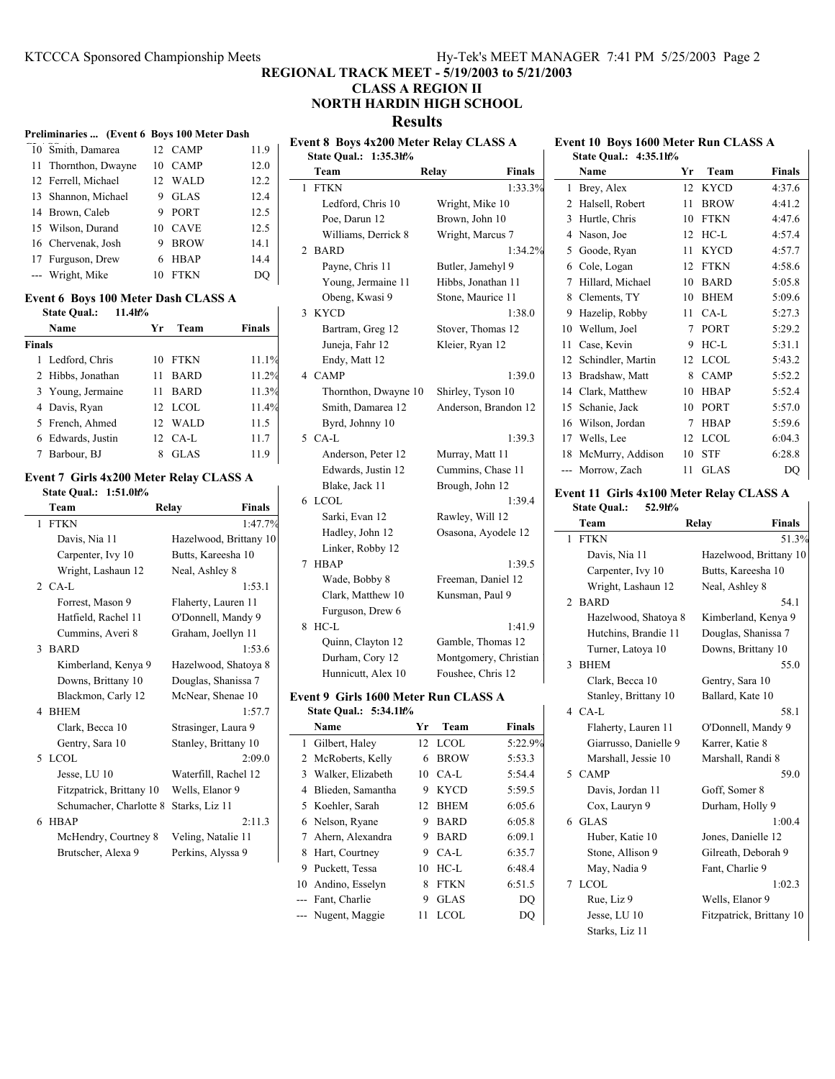## **REGIONAL TRACK MEET - 5/19/2003 to 5/21/2003**

## **CLASS A REGION II NORTH HARDIN HIGH SCHOOL**

**Results**

| Event 8 Boys 4x200 Meter Relay CLASS A<br>Event 10 Boys 1600 Meter Run CLASS A<br>10 Smith, Damarea<br>12 CAMP<br>11.9<br>State Qual.: 1:35.3h%<br>State Qual.: 4:35.1h%<br>10 CAMP<br>Thornthon, Dwayne<br>12.0<br>11<br>Team<br>Relay<br>Name<br>Yr<br>Team<br><b>Finals</b><br>Finals<br>12 WALD<br>12.2<br>12 Ferrell, Michael<br>1 FTKN<br>1:33.3%<br>12 KYCD<br>4:37.6<br>1 Brey, Alex<br>9 GLAS<br>12.4<br>13 Shannon, Michael<br>Ledford, Chris 10<br>4:41.2<br>Wright, Mike 10<br>2 Halsell, Robert<br>11 BROW<br>9 PORT<br>12.5<br>14 Brown, Caleb<br>Poe, Darun 12<br>4:47.6<br>Brown, John 10<br>3 Hurtle, Chris<br>10 FTKN<br>12.5<br>15 Wilson, Durand<br>10 CAVE<br>4:57.4<br>Williams, Derrick 8<br>Wright, Marcus 7<br>4 Nason, Joe<br>12 HC-L<br>16 Chervenak, Josh<br>9 BROW<br>14.1<br>2 BARD<br>1:34.2%<br>11 KYCD<br>4:57.7<br>5 Goode, Ryan<br>14.4<br>17 Furguson, Drew<br>6 HBAP<br>Payne, Chris 11<br>Butler, Jamehyl 9<br>12 FTKN<br>4:58.6<br>6 Cole, Logan<br>$\rm DQ$<br>--- Wright, Mike<br>10 FTKN<br>Young, Jermaine 11<br>5:05.8<br>Hibbs, Jonathan 11<br>7 Hillard, Michael<br>10 BARD<br>5:09.6<br>Obeng, Kwasi 9<br>10 BHEM<br>Stone, Maurice 11<br>8 Clements, TY<br>Event 6 Boys 100 Meter Dash CLASS A<br>3 KYCD<br>1:38.0<br>11 CA-L<br>5:27.3<br><b>State Qual.:</b><br>11.4h%<br>9 Hazelip, Robby<br>Team<br><b>Finals</b><br>7 PORT<br>5:29.2<br>Name<br>Yr<br>Bartram, Greg 12<br>Stover, Thomas 12<br>10 Wellum, Joel<br>9 HC-L<br>5:31.1<br><b>Finals</b><br>Juneja, Fahr 12<br>Kleier, Ryan 12<br>Case, Kevin<br>11<br>5:43.2<br>1 Ledford, Chris<br>10 FTKN<br>11.1%<br>Endy, Matt 12<br>12 Schindler, Martin<br>12 LCOL<br>11 BARD<br>11.2%<br>4 CAMP<br>8 CAMP<br>5:52.2<br>2 Hibbs, Jonathan<br>1:39.0<br>13 Bradshaw, Matt<br>11 BARD<br>11.3%<br>Thornthon, Dwayne 10<br>14 Clark, Matthew<br>10 HBAP<br>5:52.4<br>3 Young, Jermaine<br>Shirley, Tyson 10<br>12 LCOL<br>Smith, Damarea 12<br>5:57.0<br>4 Davis, Ryan<br>11.4%<br>Anderson, Brandon 12<br>15 Schanie, Jack<br>10 PORT<br>5:59.6<br>5 French, Ahmed<br>12 WALD<br>11.5<br>Byrd, Johnny 10<br>16 Wilson, Jordan<br>7 HBAP<br>6 Edwards, Justin<br>12 CA-L<br>11.7<br>5 CA-L<br>1:39.3<br>17 Wells, Lee<br>12 LCOL<br>6:04.3<br>6:28.8<br>8 GLAS<br>11.9<br>10 STF<br>7 Barbour, BJ<br>Anderson, Peter 12<br>Murray, Matt 11<br>18 McMurry, Addison<br>DQ<br>Edwards, Justin 12<br>Cummins, Chase 11<br>--- Morrow, Zach<br>11 GLAS<br>Event 7 Girls 4x200 Meter Relay CLASS A<br>Blake, Jack 11<br>Brough, John 12<br>State Qual.: 1:51.0h%<br>Event 11 Girls 4x100 Meter Relay CLASS A<br>6 LCOL<br>1:39.4<br>52.9h%<br>Team<br>Relay<br><b>Finals</b><br><b>State Qual.:</b><br>Sarki, Evan 12<br>Rawley, Will 12<br><b>FTKN</b><br>1:47.7%<br>Team<br>Relay<br><b>Finals</b><br>Hadley, John 12<br>Osasona, Ayodele 12<br>1 FTKN<br>51.3%<br>Davis, Nia 11<br>Hazelwood, Brittany 10<br>Linker, Robby 12<br>Butts, Kareesha 10<br>Carpenter, Ivy 10<br>Davis, Nia 11<br>Hazelwood, Brittany 10<br>1:39.5<br>7 HBAP<br>Butts, Kareesha 10<br>Wright, Lashaun 12<br>Neal, Ashley 8<br>Carpenter, Ivy 10<br>Freeman, Daniel 12<br>Wade, Bobby 8<br>1:53.1<br>2 CA-L<br>Wright, Lashaun 12<br>Neal, Ashley 8<br>Clark, Matthew 10<br>Kunsman, Paul 9<br>Forrest, Mason 9<br>Flaherty, Lauren 11<br>2 BARD<br>54.1<br>Furguson, Drew 6<br>O'Donnell, Mandy 9<br>Kimberland, Kenya 9<br>Hatfield, Rachel 11<br>Hazelwood, Shatoya 8<br>8 HC-L<br>1:41.9<br>Hutchins, Brandie 11<br>Douglas, Shanissa 7<br>Cummins, Averi 8<br>Graham, Joellyn 11<br>Gamble, Thomas 12<br>Quinn, Clayton 12<br>3 BARD<br>Downs, Brittany 10<br>1:53.6<br>Turner, Latoya 10<br>Durham, Cory 12<br>Montgomery, Christian<br>55.0<br>Kimberland, Kenya 9<br>Hazelwood, Shatoya 8<br>3 BHEM<br>Hunnicutt, Alex 10<br>Foushee, Chris 12<br>Downs, Brittany 10<br>Douglas, Shanissa 7<br>Clark, Becca 10<br>Gentry, Sara 10<br>Blackmon, Carly 12<br>McNear, Shenae 10<br>Stanley, Brittany 10<br>Ballard, Kate 10<br>Event 9 Girls 1600 Meter Run CLASS A<br>4 BHEM<br>4 CA-L<br>1:57.7<br>State Qual.: 5:34.1h%<br>58.1<br>Strasinger, Laura 9<br>Yr Team<br><b>Finals</b><br>O'Donnell, Mandy 9<br>Clark, Becca 10<br>Name<br>Flaherty, Lauren 11<br>Gentry, Sara 10<br>Stanley, Brittany 10<br>1 Gilbert, Haley<br>12 LCOL<br>5:22.9%<br>Giarrusso, Danielle 9<br>Karrer, Katie 8<br>5 LCOL<br>2:09.0<br>2 McRoberts, Kelly<br>6 BROW<br>5:53.3<br>Marshall, Jessie 10<br>Marshall, Randi 8<br>Waterfill, Rachel 12<br>3 Walker, Elizabeth<br>10 CA-L<br>Jesse, LU 10<br>5:54.4<br>5 CAMP<br>59.0<br>Wells, Elanor 9<br>4 Blieden, Samantha<br>9 KYCD<br>5:59.5<br>Davis, Jordan 11<br>Goff, Somer 8<br>Fitzpatrick, Brittany 10<br>Schumacher, Charlotte 8 Starks, Liz 11<br>5 Koehler, Sarah<br>12 BHEM<br>6:05.6<br>Cox, Lauryn 9<br>Durham, Holly 9<br>2:11.3<br>6 Nelson, Ryane<br>9 BARD<br>6 GLAS<br>6 HBAP<br>6:05.8<br>1:00.4<br>McHendry, Courtney 8<br>Veling, Natalie 11<br>7 Ahern, Alexandra<br>9<br><b>BARD</b><br>6:09.1<br>Huber, Katie 10<br>Jones, Danielle 12<br>Perkins, Alyssa 9<br>8 Hart, Courtney<br>9<br>CA-L<br>Gilreath, Deborah 9<br>Brutscher, Alexa 9<br>6:35.7<br>Stone, Allison 9<br>9 Puckett, Tessa<br>10 HC-L<br>6:48.4<br>May, Nadia 9<br>Fant, Charlie 9<br>10 Andino, Esselyn<br><b>FTKN</b><br>6:51.5<br>7 LCOL<br>1:02.3<br>8 |  | Preliminaries  (Event 6 Boys 100 Meter Dash |  |  |  |  |   |      |    |            |                 |  |
|---------------------------------------------------------------------------------------------------------------------------------------------------------------------------------------------------------------------------------------------------------------------------------------------------------------------------------------------------------------------------------------------------------------------------------------------------------------------------------------------------------------------------------------------------------------------------------------------------------------------------------------------------------------------------------------------------------------------------------------------------------------------------------------------------------------------------------------------------------------------------------------------------------------------------------------------------------------------------------------------------------------------------------------------------------------------------------------------------------------------------------------------------------------------------------------------------------------------------------------------------------------------------------------------------------------------------------------------------------------------------------------------------------------------------------------------------------------------------------------------------------------------------------------------------------------------------------------------------------------------------------------------------------------------------------------------------------------------------------------------------------------------------------------------------------------------------------------------------------------------------------------------------------------------------------------------------------------------------------------------------------------------------------------------------------------------------------------------------------------------------------------------------------------------------------------------------------------------------------------------------------------------------------------------------------------------------------------------------------------------------------------------------------------------------------------------------------------------------------------------------------------------------------------------------------------------------------------------------------------------------------------------------------------------------------------------------------------------------------------------------------------------------------------------------------------------------------------------------------------------------------------------------------------------------------------------------------------------------------------------------------------------------------------------------------------------------------------------------------------------------------------------------------------------------------------------------------------------------------------------------------------------------------------------------------------------------------------------------------------------------------------------------------------------------------------------------------------------------------------------------------------------------------------------------------------------------------------------------------------------------------------------------------------------------------------------------------------------------------------------------------------------------------------------------------------------------------------------------------------------------------------------------------------------------------------------------------------------------------------------------------------------------------------------------------------------------------------------------------------------------------------------------------------------------------------------------------------------------------------------------------------------------------------------------------------------------------------------------------------------------------------------------------------------------------------------------------------------------------------------------------------------------------------------------------------------------------------------------------------------------------------------------------------------------------------------------------------------------------------------------------------------------------------------------------------------------------------------------------------------------------------------------------------------------------------------------------------------------------------------------------------------------------------------------------------------------------------------------------------------------------------------------------------------------------------------------------------------------------------------------------------------------------------------------------------------------------------------------------------------|--|---------------------------------------------|--|--|--|--|---|------|----|------------|-----------------|--|
|                                                                                                                                                                                                                                                                                                                                                                                                                                                                                                                                                                                                                                                                                                                                                                                                                                                                                                                                                                                                                                                                                                                                                                                                                                                                                                                                                                                                                                                                                                                                                                                                                                                                                                                                                                                                                                                                                                                                                                                                                                                                                                                                                                                                                                                                                                                                                                                                                                                                                                                                                                                                                                                                                                                                                                                                                                                                                                                                                                                                                                                                                                                                                                                                                                                                                                                                                                                                                                                                                                                                                                                                                                                                                                                                                                                                                                                                                                                                                                                                                                                                                                                                                                                                                                                                                                                                                                                                                                                                                                                                                                                                                                                                                                                                                                                                                                                                                                                                                                                                                                                                                                                                                                                                                                                                                                                                                                     |  |                                             |  |  |  |  |   |      |    |            |                 |  |
|                                                                                                                                                                                                                                                                                                                                                                                                                                                                                                                                                                                                                                                                                                                                                                                                                                                                                                                                                                                                                                                                                                                                                                                                                                                                                                                                                                                                                                                                                                                                                                                                                                                                                                                                                                                                                                                                                                                                                                                                                                                                                                                                                                                                                                                                                                                                                                                                                                                                                                                                                                                                                                                                                                                                                                                                                                                                                                                                                                                                                                                                                                                                                                                                                                                                                                                                                                                                                                                                                                                                                                                                                                                                                                                                                                                                                                                                                                                                                                                                                                                                                                                                                                                                                                                                                                                                                                                                                                                                                                                                                                                                                                                                                                                                                                                                                                                                                                                                                                                                                                                                                                                                                                                                                                                                                                                                                                     |  |                                             |  |  |  |  |   |      |    |            |                 |  |
|                                                                                                                                                                                                                                                                                                                                                                                                                                                                                                                                                                                                                                                                                                                                                                                                                                                                                                                                                                                                                                                                                                                                                                                                                                                                                                                                                                                                                                                                                                                                                                                                                                                                                                                                                                                                                                                                                                                                                                                                                                                                                                                                                                                                                                                                                                                                                                                                                                                                                                                                                                                                                                                                                                                                                                                                                                                                                                                                                                                                                                                                                                                                                                                                                                                                                                                                                                                                                                                                                                                                                                                                                                                                                                                                                                                                                                                                                                                                                                                                                                                                                                                                                                                                                                                                                                                                                                                                                                                                                                                                                                                                                                                                                                                                                                                                                                                                                                                                                                                                                                                                                                                                                                                                                                                                                                                                                                     |  |                                             |  |  |  |  |   |      |    |            |                 |  |
|                                                                                                                                                                                                                                                                                                                                                                                                                                                                                                                                                                                                                                                                                                                                                                                                                                                                                                                                                                                                                                                                                                                                                                                                                                                                                                                                                                                                                                                                                                                                                                                                                                                                                                                                                                                                                                                                                                                                                                                                                                                                                                                                                                                                                                                                                                                                                                                                                                                                                                                                                                                                                                                                                                                                                                                                                                                                                                                                                                                                                                                                                                                                                                                                                                                                                                                                                                                                                                                                                                                                                                                                                                                                                                                                                                                                                                                                                                                                                                                                                                                                                                                                                                                                                                                                                                                                                                                                                                                                                                                                                                                                                                                                                                                                                                                                                                                                                                                                                                                                                                                                                                                                                                                                                                                                                                                                                                     |  |                                             |  |  |  |  |   |      |    |            |                 |  |
|                                                                                                                                                                                                                                                                                                                                                                                                                                                                                                                                                                                                                                                                                                                                                                                                                                                                                                                                                                                                                                                                                                                                                                                                                                                                                                                                                                                                                                                                                                                                                                                                                                                                                                                                                                                                                                                                                                                                                                                                                                                                                                                                                                                                                                                                                                                                                                                                                                                                                                                                                                                                                                                                                                                                                                                                                                                                                                                                                                                                                                                                                                                                                                                                                                                                                                                                                                                                                                                                                                                                                                                                                                                                                                                                                                                                                                                                                                                                                                                                                                                                                                                                                                                                                                                                                                                                                                                                                                                                                                                                                                                                                                                                                                                                                                                                                                                                                                                                                                                                                                                                                                                                                                                                                                                                                                                                                                     |  |                                             |  |  |  |  |   |      |    |            |                 |  |
|                                                                                                                                                                                                                                                                                                                                                                                                                                                                                                                                                                                                                                                                                                                                                                                                                                                                                                                                                                                                                                                                                                                                                                                                                                                                                                                                                                                                                                                                                                                                                                                                                                                                                                                                                                                                                                                                                                                                                                                                                                                                                                                                                                                                                                                                                                                                                                                                                                                                                                                                                                                                                                                                                                                                                                                                                                                                                                                                                                                                                                                                                                                                                                                                                                                                                                                                                                                                                                                                                                                                                                                                                                                                                                                                                                                                                                                                                                                                                                                                                                                                                                                                                                                                                                                                                                                                                                                                                                                                                                                                                                                                                                                                                                                                                                                                                                                                                                                                                                                                                                                                                                                                                                                                                                                                                                                                                                     |  |                                             |  |  |  |  |   |      |    |            |                 |  |
|                                                                                                                                                                                                                                                                                                                                                                                                                                                                                                                                                                                                                                                                                                                                                                                                                                                                                                                                                                                                                                                                                                                                                                                                                                                                                                                                                                                                                                                                                                                                                                                                                                                                                                                                                                                                                                                                                                                                                                                                                                                                                                                                                                                                                                                                                                                                                                                                                                                                                                                                                                                                                                                                                                                                                                                                                                                                                                                                                                                                                                                                                                                                                                                                                                                                                                                                                                                                                                                                                                                                                                                                                                                                                                                                                                                                                                                                                                                                                                                                                                                                                                                                                                                                                                                                                                                                                                                                                                                                                                                                                                                                                                                                                                                                                                                                                                                                                                                                                                                                                                                                                                                                                                                                                                                                                                                                                                     |  |                                             |  |  |  |  |   |      |    |            |                 |  |
|                                                                                                                                                                                                                                                                                                                                                                                                                                                                                                                                                                                                                                                                                                                                                                                                                                                                                                                                                                                                                                                                                                                                                                                                                                                                                                                                                                                                                                                                                                                                                                                                                                                                                                                                                                                                                                                                                                                                                                                                                                                                                                                                                                                                                                                                                                                                                                                                                                                                                                                                                                                                                                                                                                                                                                                                                                                                                                                                                                                                                                                                                                                                                                                                                                                                                                                                                                                                                                                                                                                                                                                                                                                                                                                                                                                                                                                                                                                                                                                                                                                                                                                                                                                                                                                                                                                                                                                                                                                                                                                                                                                                                                                                                                                                                                                                                                                                                                                                                                                                                                                                                                                                                                                                                                                                                                                                                                     |  |                                             |  |  |  |  |   |      |    |            |                 |  |
|                                                                                                                                                                                                                                                                                                                                                                                                                                                                                                                                                                                                                                                                                                                                                                                                                                                                                                                                                                                                                                                                                                                                                                                                                                                                                                                                                                                                                                                                                                                                                                                                                                                                                                                                                                                                                                                                                                                                                                                                                                                                                                                                                                                                                                                                                                                                                                                                                                                                                                                                                                                                                                                                                                                                                                                                                                                                                                                                                                                                                                                                                                                                                                                                                                                                                                                                                                                                                                                                                                                                                                                                                                                                                                                                                                                                                                                                                                                                                                                                                                                                                                                                                                                                                                                                                                                                                                                                                                                                                                                                                                                                                                                                                                                                                                                                                                                                                                                                                                                                                                                                                                                                                                                                                                                                                                                                                                     |  |                                             |  |  |  |  |   |      |    |            |                 |  |
|                                                                                                                                                                                                                                                                                                                                                                                                                                                                                                                                                                                                                                                                                                                                                                                                                                                                                                                                                                                                                                                                                                                                                                                                                                                                                                                                                                                                                                                                                                                                                                                                                                                                                                                                                                                                                                                                                                                                                                                                                                                                                                                                                                                                                                                                                                                                                                                                                                                                                                                                                                                                                                                                                                                                                                                                                                                                                                                                                                                                                                                                                                                                                                                                                                                                                                                                                                                                                                                                                                                                                                                                                                                                                                                                                                                                                                                                                                                                                                                                                                                                                                                                                                                                                                                                                                                                                                                                                                                                                                                                                                                                                                                                                                                                                                                                                                                                                                                                                                                                                                                                                                                                                                                                                                                                                                                                                                     |  |                                             |  |  |  |  |   |      |    |            |                 |  |
|                                                                                                                                                                                                                                                                                                                                                                                                                                                                                                                                                                                                                                                                                                                                                                                                                                                                                                                                                                                                                                                                                                                                                                                                                                                                                                                                                                                                                                                                                                                                                                                                                                                                                                                                                                                                                                                                                                                                                                                                                                                                                                                                                                                                                                                                                                                                                                                                                                                                                                                                                                                                                                                                                                                                                                                                                                                                                                                                                                                                                                                                                                                                                                                                                                                                                                                                                                                                                                                                                                                                                                                                                                                                                                                                                                                                                                                                                                                                                                                                                                                                                                                                                                                                                                                                                                                                                                                                                                                                                                                                                                                                                                                                                                                                                                                                                                                                                                                                                                                                                                                                                                                                                                                                                                                                                                                                                                     |  |                                             |  |  |  |  |   |      |    |            |                 |  |
|                                                                                                                                                                                                                                                                                                                                                                                                                                                                                                                                                                                                                                                                                                                                                                                                                                                                                                                                                                                                                                                                                                                                                                                                                                                                                                                                                                                                                                                                                                                                                                                                                                                                                                                                                                                                                                                                                                                                                                                                                                                                                                                                                                                                                                                                                                                                                                                                                                                                                                                                                                                                                                                                                                                                                                                                                                                                                                                                                                                                                                                                                                                                                                                                                                                                                                                                                                                                                                                                                                                                                                                                                                                                                                                                                                                                                                                                                                                                                                                                                                                                                                                                                                                                                                                                                                                                                                                                                                                                                                                                                                                                                                                                                                                                                                                                                                                                                                                                                                                                                                                                                                                                                                                                                                                                                                                                                                     |  |                                             |  |  |  |  |   |      |    |            |                 |  |
|                                                                                                                                                                                                                                                                                                                                                                                                                                                                                                                                                                                                                                                                                                                                                                                                                                                                                                                                                                                                                                                                                                                                                                                                                                                                                                                                                                                                                                                                                                                                                                                                                                                                                                                                                                                                                                                                                                                                                                                                                                                                                                                                                                                                                                                                                                                                                                                                                                                                                                                                                                                                                                                                                                                                                                                                                                                                                                                                                                                                                                                                                                                                                                                                                                                                                                                                                                                                                                                                                                                                                                                                                                                                                                                                                                                                                                                                                                                                                                                                                                                                                                                                                                                                                                                                                                                                                                                                                                                                                                                                                                                                                                                                                                                                                                                                                                                                                                                                                                                                                                                                                                                                                                                                                                                                                                                                                                     |  |                                             |  |  |  |  |   |      |    |            |                 |  |
|                                                                                                                                                                                                                                                                                                                                                                                                                                                                                                                                                                                                                                                                                                                                                                                                                                                                                                                                                                                                                                                                                                                                                                                                                                                                                                                                                                                                                                                                                                                                                                                                                                                                                                                                                                                                                                                                                                                                                                                                                                                                                                                                                                                                                                                                                                                                                                                                                                                                                                                                                                                                                                                                                                                                                                                                                                                                                                                                                                                                                                                                                                                                                                                                                                                                                                                                                                                                                                                                                                                                                                                                                                                                                                                                                                                                                                                                                                                                                                                                                                                                                                                                                                                                                                                                                                                                                                                                                                                                                                                                                                                                                                                                                                                                                                                                                                                                                                                                                                                                                                                                                                                                                                                                                                                                                                                                                                     |  |                                             |  |  |  |  |   |      |    |            |                 |  |
|                                                                                                                                                                                                                                                                                                                                                                                                                                                                                                                                                                                                                                                                                                                                                                                                                                                                                                                                                                                                                                                                                                                                                                                                                                                                                                                                                                                                                                                                                                                                                                                                                                                                                                                                                                                                                                                                                                                                                                                                                                                                                                                                                                                                                                                                                                                                                                                                                                                                                                                                                                                                                                                                                                                                                                                                                                                                                                                                                                                                                                                                                                                                                                                                                                                                                                                                                                                                                                                                                                                                                                                                                                                                                                                                                                                                                                                                                                                                                                                                                                                                                                                                                                                                                                                                                                                                                                                                                                                                                                                                                                                                                                                                                                                                                                                                                                                                                                                                                                                                                                                                                                                                                                                                                                                                                                                                                                     |  |                                             |  |  |  |  |   |      |    |            |                 |  |
|                                                                                                                                                                                                                                                                                                                                                                                                                                                                                                                                                                                                                                                                                                                                                                                                                                                                                                                                                                                                                                                                                                                                                                                                                                                                                                                                                                                                                                                                                                                                                                                                                                                                                                                                                                                                                                                                                                                                                                                                                                                                                                                                                                                                                                                                                                                                                                                                                                                                                                                                                                                                                                                                                                                                                                                                                                                                                                                                                                                                                                                                                                                                                                                                                                                                                                                                                                                                                                                                                                                                                                                                                                                                                                                                                                                                                                                                                                                                                                                                                                                                                                                                                                                                                                                                                                                                                                                                                                                                                                                                                                                                                                                                                                                                                                                                                                                                                                                                                                                                                                                                                                                                                                                                                                                                                                                                                                     |  |                                             |  |  |  |  |   |      |    |            |                 |  |
|                                                                                                                                                                                                                                                                                                                                                                                                                                                                                                                                                                                                                                                                                                                                                                                                                                                                                                                                                                                                                                                                                                                                                                                                                                                                                                                                                                                                                                                                                                                                                                                                                                                                                                                                                                                                                                                                                                                                                                                                                                                                                                                                                                                                                                                                                                                                                                                                                                                                                                                                                                                                                                                                                                                                                                                                                                                                                                                                                                                                                                                                                                                                                                                                                                                                                                                                                                                                                                                                                                                                                                                                                                                                                                                                                                                                                                                                                                                                                                                                                                                                                                                                                                                                                                                                                                                                                                                                                                                                                                                                                                                                                                                                                                                                                                                                                                                                                                                                                                                                                                                                                                                                                                                                                                                                                                                                                                     |  |                                             |  |  |  |  |   |      |    |            |                 |  |
|                                                                                                                                                                                                                                                                                                                                                                                                                                                                                                                                                                                                                                                                                                                                                                                                                                                                                                                                                                                                                                                                                                                                                                                                                                                                                                                                                                                                                                                                                                                                                                                                                                                                                                                                                                                                                                                                                                                                                                                                                                                                                                                                                                                                                                                                                                                                                                                                                                                                                                                                                                                                                                                                                                                                                                                                                                                                                                                                                                                                                                                                                                                                                                                                                                                                                                                                                                                                                                                                                                                                                                                                                                                                                                                                                                                                                                                                                                                                                                                                                                                                                                                                                                                                                                                                                                                                                                                                                                                                                                                                                                                                                                                                                                                                                                                                                                                                                                                                                                                                                                                                                                                                                                                                                                                                                                                                                                     |  |                                             |  |  |  |  |   |      |    |            |                 |  |
|                                                                                                                                                                                                                                                                                                                                                                                                                                                                                                                                                                                                                                                                                                                                                                                                                                                                                                                                                                                                                                                                                                                                                                                                                                                                                                                                                                                                                                                                                                                                                                                                                                                                                                                                                                                                                                                                                                                                                                                                                                                                                                                                                                                                                                                                                                                                                                                                                                                                                                                                                                                                                                                                                                                                                                                                                                                                                                                                                                                                                                                                                                                                                                                                                                                                                                                                                                                                                                                                                                                                                                                                                                                                                                                                                                                                                                                                                                                                                                                                                                                                                                                                                                                                                                                                                                                                                                                                                                                                                                                                                                                                                                                                                                                                                                                                                                                                                                                                                                                                                                                                                                                                                                                                                                                                                                                                                                     |  |                                             |  |  |  |  |   |      |    |            |                 |  |
|                                                                                                                                                                                                                                                                                                                                                                                                                                                                                                                                                                                                                                                                                                                                                                                                                                                                                                                                                                                                                                                                                                                                                                                                                                                                                                                                                                                                                                                                                                                                                                                                                                                                                                                                                                                                                                                                                                                                                                                                                                                                                                                                                                                                                                                                                                                                                                                                                                                                                                                                                                                                                                                                                                                                                                                                                                                                                                                                                                                                                                                                                                                                                                                                                                                                                                                                                                                                                                                                                                                                                                                                                                                                                                                                                                                                                                                                                                                                                                                                                                                                                                                                                                                                                                                                                                                                                                                                                                                                                                                                                                                                                                                                                                                                                                                                                                                                                                                                                                                                                                                                                                                                                                                                                                                                                                                                                                     |  |                                             |  |  |  |  |   |      |    |            |                 |  |
|                                                                                                                                                                                                                                                                                                                                                                                                                                                                                                                                                                                                                                                                                                                                                                                                                                                                                                                                                                                                                                                                                                                                                                                                                                                                                                                                                                                                                                                                                                                                                                                                                                                                                                                                                                                                                                                                                                                                                                                                                                                                                                                                                                                                                                                                                                                                                                                                                                                                                                                                                                                                                                                                                                                                                                                                                                                                                                                                                                                                                                                                                                                                                                                                                                                                                                                                                                                                                                                                                                                                                                                                                                                                                                                                                                                                                                                                                                                                                                                                                                                                                                                                                                                                                                                                                                                                                                                                                                                                                                                                                                                                                                                                                                                                                                                                                                                                                                                                                                                                                                                                                                                                                                                                                                                                                                                                                                     |  |                                             |  |  |  |  |   |      |    |            |                 |  |
|                                                                                                                                                                                                                                                                                                                                                                                                                                                                                                                                                                                                                                                                                                                                                                                                                                                                                                                                                                                                                                                                                                                                                                                                                                                                                                                                                                                                                                                                                                                                                                                                                                                                                                                                                                                                                                                                                                                                                                                                                                                                                                                                                                                                                                                                                                                                                                                                                                                                                                                                                                                                                                                                                                                                                                                                                                                                                                                                                                                                                                                                                                                                                                                                                                                                                                                                                                                                                                                                                                                                                                                                                                                                                                                                                                                                                                                                                                                                                                                                                                                                                                                                                                                                                                                                                                                                                                                                                                                                                                                                                                                                                                                                                                                                                                                                                                                                                                                                                                                                                                                                                                                                                                                                                                                                                                                                                                     |  |                                             |  |  |  |  |   |      |    |            |                 |  |
|                                                                                                                                                                                                                                                                                                                                                                                                                                                                                                                                                                                                                                                                                                                                                                                                                                                                                                                                                                                                                                                                                                                                                                                                                                                                                                                                                                                                                                                                                                                                                                                                                                                                                                                                                                                                                                                                                                                                                                                                                                                                                                                                                                                                                                                                                                                                                                                                                                                                                                                                                                                                                                                                                                                                                                                                                                                                                                                                                                                                                                                                                                                                                                                                                                                                                                                                                                                                                                                                                                                                                                                                                                                                                                                                                                                                                                                                                                                                                                                                                                                                                                                                                                                                                                                                                                                                                                                                                                                                                                                                                                                                                                                                                                                                                                                                                                                                                                                                                                                                                                                                                                                                                                                                                                                                                                                                                                     |  |                                             |  |  |  |  |   |      |    |            |                 |  |
|                                                                                                                                                                                                                                                                                                                                                                                                                                                                                                                                                                                                                                                                                                                                                                                                                                                                                                                                                                                                                                                                                                                                                                                                                                                                                                                                                                                                                                                                                                                                                                                                                                                                                                                                                                                                                                                                                                                                                                                                                                                                                                                                                                                                                                                                                                                                                                                                                                                                                                                                                                                                                                                                                                                                                                                                                                                                                                                                                                                                                                                                                                                                                                                                                                                                                                                                                                                                                                                                                                                                                                                                                                                                                                                                                                                                                                                                                                                                                                                                                                                                                                                                                                                                                                                                                                                                                                                                                                                                                                                                                                                                                                                                                                                                                                                                                                                                                                                                                                                                                                                                                                                                                                                                                                                                                                                                                                     |  |                                             |  |  |  |  |   |      |    |            |                 |  |
|                                                                                                                                                                                                                                                                                                                                                                                                                                                                                                                                                                                                                                                                                                                                                                                                                                                                                                                                                                                                                                                                                                                                                                                                                                                                                                                                                                                                                                                                                                                                                                                                                                                                                                                                                                                                                                                                                                                                                                                                                                                                                                                                                                                                                                                                                                                                                                                                                                                                                                                                                                                                                                                                                                                                                                                                                                                                                                                                                                                                                                                                                                                                                                                                                                                                                                                                                                                                                                                                                                                                                                                                                                                                                                                                                                                                                                                                                                                                                                                                                                                                                                                                                                                                                                                                                                                                                                                                                                                                                                                                                                                                                                                                                                                                                                                                                                                                                                                                                                                                                                                                                                                                                                                                                                                                                                                                                                     |  |                                             |  |  |  |  |   |      |    |            |                 |  |
|                                                                                                                                                                                                                                                                                                                                                                                                                                                                                                                                                                                                                                                                                                                                                                                                                                                                                                                                                                                                                                                                                                                                                                                                                                                                                                                                                                                                                                                                                                                                                                                                                                                                                                                                                                                                                                                                                                                                                                                                                                                                                                                                                                                                                                                                                                                                                                                                                                                                                                                                                                                                                                                                                                                                                                                                                                                                                                                                                                                                                                                                                                                                                                                                                                                                                                                                                                                                                                                                                                                                                                                                                                                                                                                                                                                                                                                                                                                                                                                                                                                                                                                                                                                                                                                                                                                                                                                                                                                                                                                                                                                                                                                                                                                                                                                                                                                                                                                                                                                                                                                                                                                                                                                                                                                                                                                                                                     |  |                                             |  |  |  |  |   |      |    |            |                 |  |
|                                                                                                                                                                                                                                                                                                                                                                                                                                                                                                                                                                                                                                                                                                                                                                                                                                                                                                                                                                                                                                                                                                                                                                                                                                                                                                                                                                                                                                                                                                                                                                                                                                                                                                                                                                                                                                                                                                                                                                                                                                                                                                                                                                                                                                                                                                                                                                                                                                                                                                                                                                                                                                                                                                                                                                                                                                                                                                                                                                                                                                                                                                                                                                                                                                                                                                                                                                                                                                                                                                                                                                                                                                                                                                                                                                                                                                                                                                                                                                                                                                                                                                                                                                                                                                                                                                                                                                                                                                                                                                                                                                                                                                                                                                                                                                                                                                                                                                                                                                                                                                                                                                                                                                                                                                                                                                                                                                     |  |                                             |  |  |  |  |   |      |    |            |                 |  |
|                                                                                                                                                                                                                                                                                                                                                                                                                                                                                                                                                                                                                                                                                                                                                                                                                                                                                                                                                                                                                                                                                                                                                                                                                                                                                                                                                                                                                                                                                                                                                                                                                                                                                                                                                                                                                                                                                                                                                                                                                                                                                                                                                                                                                                                                                                                                                                                                                                                                                                                                                                                                                                                                                                                                                                                                                                                                                                                                                                                                                                                                                                                                                                                                                                                                                                                                                                                                                                                                                                                                                                                                                                                                                                                                                                                                                                                                                                                                                                                                                                                                                                                                                                                                                                                                                                                                                                                                                                                                                                                                                                                                                                                                                                                                                                                                                                                                                                                                                                                                                                                                                                                                                                                                                                                                                                                                                                     |  |                                             |  |  |  |  |   |      |    |            |                 |  |
|                                                                                                                                                                                                                                                                                                                                                                                                                                                                                                                                                                                                                                                                                                                                                                                                                                                                                                                                                                                                                                                                                                                                                                                                                                                                                                                                                                                                                                                                                                                                                                                                                                                                                                                                                                                                                                                                                                                                                                                                                                                                                                                                                                                                                                                                                                                                                                                                                                                                                                                                                                                                                                                                                                                                                                                                                                                                                                                                                                                                                                                                                                                                                                                                                                                                                                                                                                                                                                                                                                                                                                                                                                                                                                                                                                                                                                                                                                                                                                                                                                                                                                                                                                                                                                                                                                                                                                                                                                                                                                                                                                                                                                                                                                                                                                                                                                                                                                                                                                                                                                                                                                                                                                                                                                                                                                                                                                     |  |                                             |  |  |  |  |   |      |    |            |                 |  |
|                                                                                                                                                                                                                                                                                                                                                                                                                                                                                                                                                                                                                                                                                                                                                                                                                                                                                                                                                                                                                                                                                                                                                                                                                                                                                                                                                                                                                                                                                                                                                                                                                                                                                                                                                                                                                                                                                                                                                                                                                                                                                                                                                                                                                                                                                                                                                                                                                                                                                                                                                                                                                                                                                                                                                                                                                                                                                                                                                                                                                                                                                                                                                                                                                                                                                                                                                                                                                                                                                                                                                                                                                                                                                                                                                                                                                                                                                                                                                                                                                                                                                                                                                                                                                                                                                                                                                                                                                                                                                                                                                                                                                                                                                                                                                                                                                                                                                                                                                                                                                                                                                                                                                                                                                                                                                                                                                                     |  |                                             |  |  |  |  |   |      |    |            |                 |  |
|                                                                                                                                                                                                                                                                                                                                                                                                                                                                                                                                                                                                                                                                                                                                                                                                                                                                                                                                                                                                                                                                                                                                                                                                                                                                                                                                                                                                                                                                                                                                                                                                                                                                                                                                                                                                                                                                                                                                                                                                                                                                                                                                                                                                                                                                                                                                                                                                                                                                                                                                                                                                                                                                                                                                                                                                                                                                                                                                                                                                                                                                                                                                                                                                                                                                                                                                                                                                                                                                                                                                                                                                                                                                                                                                                                                                                                                                                                                                                                                                                                                                                                                                                                                                                                                                                                                                                                                                                                                                                                                                                                                                                                                                                                                                                                                                                                                                                                                                                                                                                                                                                                                                                                                                                                                                                                                                                                     |  |                                             |  |  |  |  |   |      |    |            |                 |  |
|                                                                                                                                                                                                                                                                                                                                                                                                                                                                                                                                                                                                                                                                                                                                                                                                                                                                                                                                                                                                                                                                                                                                                                                                                                                                                                                                                                                                                                                                                                                                                                                                                                                                                                                                                                                                                                                                                                                                                                                                                                                                                                                                                                                                                                                                                                                                                                                                                                                                                                                                                                                                                                                                                                                                                                                                                                                                                                                                                                                                                                                                                                                                                                                                                                                                                                                                                                                                                                                                                                                                                                                                                                                                                                                                                                                                                                                                                                                                                                                                                                                                                                                                                                                                                                                                                                                                                                                                                                                                                                                                                                                                                                                                                                                                                                                                                                                                                                                                                                                                                                                                                                                                                                                                                                                                                                                                                                     |  |                                             |  |  |  |  |   |      |    |            |                 |  |
|                                                                                                                                                                                                                                                                                                                                                                                                                                                                                                                                                                                                                                                                                                                                                                                                                                                                                                                                                                                                                                                                                                                                                                                                                                                                                                                                                                                                                                                                                                                                                                                                                                                                                                                                                                                                                                                                                                                                                                                                                                                                                                                                                                                                                                                                                                                                                                                                                                                                                                                                                                                                                                                                                                                                                                                                                                                                                                                                                                                                                                                                                                                                                                                                                                                                                                                                                                                                                                                                                                                                                                                                                                                                                                                                                                                                                                                                                                                                                                                                                                                                                                                                                                                                                                                                                                                                                                                                                                                                                                                                                                                                                                                                                                                                                                                                                                                                                                                                                                                                                                                                                                                                                                                                                                                                                                                                                                     |  |                                             |  |  |  |  |   |      |    |            |                 |  |
|                                                                                                                                                                                                                                                                                                                                                                                                                                                                                                                                                                                                                                                                                                                                                                                                                                                                                                                                                                                                                                                                                                                                                                                                                                                                                                                                                                                                                                                                                                                                                                                                                                                                                                                                                                                                                                                                                                                                                                                                                                                                                                                                                                                                                                                                                                                                                                                                                                                                                                                                                                                                                                                                                                                                                                                                                                                                                                                                                                                                                                                                                                                                                                                                                                                                                                                                                                                                                                                                                                                                                                                                                                                                                                                                                                                                                                                                                                                                                                                                                                                                                                                                                                                                                                                                                                                                                                                                                                                                                                                                                                                                                                                                                                                                                                                                                                                                                                                                                                                                                                                                                                                                                                                                                                                                                                                                                                     |  |                                             |  |  |  |  |   |      |    |            |                 |  |
|                                                                                                                                                                                                                                                                                                                                                                                                                                                                                                                                                                                                                                                                                                                                                                                                                                                                                                                                                                                                                                                                                                                                                                                                                                                                                                                                                                                                                                                                                                                                                                                                                                                                                                                                                                                                                                                                                                                                                                                                                                                                                                                                                                                                                                                                                                                                                                                                                                                                                                                                                                                                                                                                                                                                                                                                                                                                                                                                                                                                                                                                                                                                                                                                                                                                                                                                                                                                                                                                                                                                                                                                                                                                                                                                                                                                                                                                                                                                                                                                                                                                                                                                                                                                                                                                                                                                                                                                                                                                                                                                                                                                                                                                                                                                                                                                                                                                                                                                                                                                                                                                                                                                                                                                                                                                                                                                                                     |  |                                             |  |  |  |  |   |      |    |            |                 |  |
|                                                                                                                                                                                                                                                                                                                                                                                                                                                                                                                                                                                                                                                                                                                                                                                                                                                                                                                                                                                                                                                                                                                                                                                                                                                                                                                                                                                                                                                                                                                                                                                                                                                                                                                                                                                                                                                                                                                                                                                                                                                                                                                                                                                                                                                                                                                                                                                                                                                                                                                                                                                                                                                                                                                                                                                                                                                                                                                                                                                                                                                                                                                                                                                                                                                                                                                                                                                                                                                                                                                                                                                                                                                                                                                                                                                                                                                                                                                                                                                                                                                                                                                                                                                                                                                                                                                                                                                                                                                                                                                                                                                                                                                                                                                                                                                                                                                                                                                                                                                                                                                                                                                                                                                                                                                                                                                                                                     |  |                                             |  |  |  |  |   |      |    |            |                 |  |
|                                                                                                                                                                                                                                                                                                                                                                                                                                                                                                                                                                                                                                                                                                                                                                                                                                                                                                                                                                                                                                                                                                                                                                                                                                                                                                                                                                                                                                                                                                                                                                                                                                                                                                                                                                                                                                                                                                                                                                                                                                                                                                                                                                                                                                                                                                                                                                                                                                                                                                                                                                                                                                                                                                                                                                                                                                                                                                                                                                                                                                                                                                                                                                                                                                                                                                                                                                                                                                                                                                                                                                                                                                                                                                                                                                                                                                                                                                                                                                                                                                                                                                                                                                                                                                                                                                                                                                                                                                                                                                                                                                                                                                                                                                                                                                                                                                                                                                                                                                                                                                                                                                                                                                                                                                                                                                                                                                     |  |                                             |  |  |  |  |   |      |    |            |                 |  |
|                                                                                                                                                                                                                                                                                                                                                                                                                                                                                                                                                                                                                                                                                                                                                                                                                                                                                                                                                                                                                                                                                                                                                                                                                                                                                                                                                                                                                                                                                                                                                                                                                                                                                                                                                                                                                                                                                                                                                                                                                                                                                                                                                                                                                                                                                                                                                                                                                                                                                                                                                                                                                                                                                                                                                                                                                                                                                                                                                                                                                                                                                                                                                                                                                                                                                                                                                                                                                                                                                                                                                                                                                                                                                                                                                                                                                                                                                                                                                                                                                                                                                                                                                                                                                                                                                                                                                                                                                                                                                                                                                                                                                                                                                                                                                                                                                                                                                                                                                                                                                                                                                                                                                                                                                                                                                                                                                                     |  |                                             |  |  |  |  |   |      |    |            |                 |  |
|                                                                                                                                                                                                                                                                                                                                                                                                                                                                                                                                                                                                                                                                                                                                                                                                                                                                                                                                                                                                                                                                                                                                                                                                                                                                                                                                                                                                                                                                                                                                                                                                                                                                                                                                                                                                                                                                                                                                                                                                                                                                                                                                                                                                                                                                                                                                                                                                                                                                                                                                                                                                                                                                                                                                                                                                                                                                                                                                                                                                                                                                                                                                                                                                                                                                                                                                                                                                                                                                                                                                                                                                                                                                                                                                                                                                                                                                                                                                                                                                                                                                                                                                                                                                                                                                                                                                                                                                                                                                                                                                                                                                                                                                                                                                                                                                                                                                                                                                                                                                                                                                                                                                                                                                                                                                                                                                                                     |  |                                             |  |  |  |  |   |      |    |            |                 |  |
|                                                                                                                                                                                                                                                                                                                                                                                                                                                                                                                                                                                                                                                                                                                                                                                                                                                                                                                                                                                                                                                                                                                                                                                                                                                                                                                                                                                                                                                                                                                                                                                                                                                                                                                                                                                                                                                                                                                                                                                                                                                                                                                                                                                                                                                                                                                                                                                                                                                                                                                                                                                                                                                                                                                                                                                                                                                                                                                                                                                                                                                                                                                                                                                                                                                                                                                                                                                                                                                                                                                                                                                                                                                                                                                                                                                                                                                                                                                                                                                                                                                                                                                                                                                                                                                                                                                                                                                                                                                                                                                                                                                                                                                                                                                                                                                                                                                                                                                                                                                                                                                                                                                                                                                                                                                                                                                                                                     |  |                                             |  |  |  |  |   |      |    |            |                 |  |
|                                                                                                                                                                                                                                                                                                                                                                                                                                                                                                                                                                                                                                                                                                                                                                                                                                                                                                                                                                                                                                                                                                                                                                                                                                                                                                                                                                                                                                                                                                                                                                                                                                                                                                                                                                                                                                                                                                                                                                                                                                                                                                                                                                                                                                                                                                                                                                                                                                                                                                                                                                                                                                                                                                                                                                                                                                                                                                                                                                                                                                                                                                                                                                                                                                                                                                                                                                                                                                                                                                                                                                                                                                                                                                                                                                                                                                                                                                                                                                                                                                                                                                                                                                                                                                                                                                                                                                                                                                                                                                                                                                                                                                                                                                                                                                                                                                                                                                                                                                                                                                                                                                                                                                                                                                                                                                                                                                     |  |                                             |  |  |  |  |   |      |    |            |                 |  |
|                                                                                                                                                                                                                                                                                                                                                                                                                                                                                                                                                                                                                                                                                                                                                                                                                                                                                                                                                                                                                                                                                                                                                                                                                                                                                                                                                                                                                                                                                                                                                                                                                                                                                                                                                                                                                                                                                                                                                                                                                                                                                                                                                                                                                                                                                                                                                                                                                                                                                                                                                                                                                                                                                                                                                                                                                                                                                                                                                                                                                                                                                                                                                                                                                                                                                                                                                                                                                                                                                                                                                                                                                                                                                                                                                                                                                                                                                                                                                                                                                                                                                                                                                                                                                                                                                                                                                                                                                                                                                                                                                                                                                                                                                                                                                                                                                                                                                                                                                                                                                                                                                                                                                                                                                                                                                                                                                                     |  |                                             |  |  |  |  |   |      |    |            |                 |  |
|                                                                                                                                                                                                                                                                                                                                                                                                                                                                                                                                                                                                                                                                                                                                                                                                                                                                                                                                                                                                                                                                                                                                                                                                                                                                                                                                                                                                                                                                                                                                                                                                                                                                                                                                                                                                                                                                                                                                                                                                                                                                                                                                                                                                                                                                                                                                                                                                                                                                                                                                                                                                                                                                                                                                                                                                                                                                                                                                                                                                                                                                                                                                                                                                                                                                                                                                                                                                                                                                                                                                                                                                                                                                                                                                                                                                                                                                                                                                                                                                                                                                                                                                                                                                                                                                                                                                                                                                                                                                                                                                                                                                                                                                                                                                                                                                                                                                                                                                                                                                                                                                                                                                                                                                                                                                                                                                                                     |  |                                             |  |  |  |  |   |      |    |            |                 |  |
|                                                                                                                                                                                                                                                                                                                                                                                                                                                                                                                                                                                                                                                                                                                                                                                                                                                                                                                                                                                                                                                                                                                                                                                                                                                                                                                                                                                                                                                                                                                                                                                                                                                                                                                                                                                                                                                                                                                                                                                                                                                                                                                                                                                                                                                                                                                                                                                                                                                                                                                                                                                                                                                                                                                                                                                                                                                                                                                                                                                                                                                                                                                                                                                                                                                                                                                                                                                                                                                                                                                                                                                                                                                                                                                                                                                                                                                                                                                                                                                                                                                                                                                                                                                                                                                                                                                                                                                                                                                                                                                                                                                                                                                                                                                                                                                                                                                                                                                                                                                                                                                                                                                                                                                                                                                                                                                                                                     |  |                                             |  |  |  |  |   |      |    |            |                 |  |
|                                                                                                                                                                                                                                                                                                                                                                                                                                                                                                                                                                                                                                                                                                                                                                                                                                                                                                                                                                                                                                                                                                                                                                                                                                                                                                                                                                                                                                                                                                                                                                                                                                                                                                                                                                                                                                                                                                                                                                                                                                                                                                                                                                                                                                                                                                                                                                                                                                                                                                                                                                                                                                                                                                                                                                                                                                                                                                                                                                                                                                                                                                                                                                                                                                                                                                                                                                                                                                                                                                                                                                                                                                                                                                                                                                                                                                                                                                                                                                                                                                                                                                                                                                                                                                                                                                                                                                                                                                                                                                                                                                                                                                                                                                                                                                                                                                                                                                                                                                                                                                                                                                                                                                                                                                                                                                                                                                     |  |                                             |  |  |  |  |   |      |    |            |                 |  |
|                                                                                                                                                                                                                                                                                                                                                                                                                                                                                                                                                                                                                                                                                                                                                                                                                                                                                                                                                                                                                                                                                                                                                                                                                                                                                                                                                                                                                                                                                                                                                                                                                                                                                                                                                                                                                                                                                                                                                                                                                                                                                                                                                                                                                                                                                                                                                                                                                                                                                                                                                                                                                                                                                                                                                                                                                                                                                                                                                                                                                                                                                                                                                                                                                                                                                                                                                                                                                                                                                                                                                                                                                                                                                                                                                                                                                                                                                                                                                                                                                                                                                                                                                                                                                                                                                                                                                                                                                                                                                                                                                                                                                                                                                                                                                                                                                                                                                                                                                                                                                                                                                                                                                                                                                                                                                                                                                                     |  |                                             |  |  |  |  |   |      |    |            |                 |  |
|                                                                                                                                                                                                                                                                                                                                                                                                                                                                                                                                                                                                                                                                                                                                                                                                                                                                                                                                                                                                                                                                                                                                                                                                                                                                                                                                                                                                                                                                                                                                                                                                                                                                                                                                                                                                                                                                                                                                                                                                                                                                                                                                                                                                                                                                                                                                                                                                                                                                                                                                                                                                                                                                                                                                                                                                                                                                                                                                                                                                                                                                                                                                                                                                                                                                                                                                                                                                                                                                                                                                                                                                                                                                                                                                                                                                                                                                                                                                                                                                                                                                                                                                                                                                                                                                                                                                                                                                                                                                                                                                                                                                                                                                                                                                                                                                                                                                                                                                                                                                                                                                                                                                                                                                                                                                                                                                                                     |  |                                             |  |  |  |  |   |      |    |            |                 |  |
|                                                                                                                                                                                                                                                                                                                                                                                                                                                                                                                                                                                                                                                                                                                                                                                                                                                                                                                                                                                                                                                                                                                                                                                                                                                                                                                                                                                                                                                                                                                                                                                                                                                                                                                                                                                                                                                                                                                                                                                                                                                                                                                                                                                                                                                                                                                                                                                                                                                                                                                                                                                                                                                                                                                                                                                                                                                                                                                                                                                                                                                                                                                                                                                                                                                                                                                                                                                                                                                                                                                                                                                                                                                                                                                                                                                                                                                                                                                                                                                                                                                                                                                                                                                                                                                                                                                                                                                                                                                                                                                                                                                                                                                                                                                                                                                                                                                                                                                                                                                                                                                                                                                                                                                                                                                                                                                                                                     |  |                                             |  |  |  |  |   |      |    |            |                 |  |
| --- Fant, Charlie                                                                                                                                                                                                                                                                                                                                                                                                                                                                                                                                                                                                                                                                                                                                                                                                                                                                                                                                                                                                                                                                                                                                                                                                                                                                                                                                                                                                                                                                                                                                                                                                                                                                                                                                                                                                                                                                                                                                                                                                                                                                                                                                                                                                                                                                                                                                                                                                                                                                                                                                                                                                                                                                                                                                                                                                                                                                                                                                                                                                                                                                                                                                                                                                                                                                                                                                                                                                                                                                                                                                                                                                                                                                                                                                                                                                                                                                                                                                                                                                                                                                                                                                                                                                                                                                                                                                                                                                                                                                                                                                                                                                                                                                                                                                                                                                                                                                                                                                                                                                                                                                                                                                                                                                                                                                                                                                                   |  |                                             |  |  |  |  | 9 | GLAS | DQ | Rue, Liz 9 | Wells, Elanor 9 |  |
| --- Nugent, Maggie<br>11 LCOL<br>Fitzpatrick, Brittany 10<br>$\rm DQ$<br>Jesse, LU 10                                                                                                                                                                                                                                                                                                                                                                                                                                                                                                                                                                                                                                                                                                                                                                                                                                                                                                                                                                                                                                                                                                                                                                                                                                                                                                                                                                                                                                                                                                                                                                                                                                                                                                                                                                                                                                                                                                                                                                                                                                                                                                                                                                                                                                                                                                                                                                                                                                                                                                                                                                                                                                                                                                                                                                                                                                                                                                                                                                                                                                                                                                                                                                                                                                                                                                                                                                                                                                                                                                                                                                                                                                                                                                                                                                                                                                                                                                                                                                                                                                                                                                                                                                                                                                                                                                                                                                                                                                                                                                                                                                                                                                                                                                                                                                                                                                                                                                                                                                                                                                                                                                                                                                                                                                                                               |  |                                             |  |  |  |  |   |      |    |            |                 |  |
| Starks, Liz 11                                                                                                                                                                                                                                                                                                                                                                                                                                                                                                                                                                                                                                                                                                                                                                                                                                                                                                                                                                                                                                                                                                                                                                                                                                                                                                                                                                                                                                                                                                                                                                                                                                                                                                                                                                                                                                                                                                                                                                                                                                                                                                                                                                                                                                                                                                                                                                                                                                                                                                                                                                                                                                                                                                                                                                                                                                                                                                                                                                                                                                                                                                                                                                                                                                                                                                                                                                                                                                                                                                                                                                                                                                                                                                                                                                                                                                                                                                                                                                                                                                                                                                                                                                                                                                                                                                                                                                                                                                                                                                                                                                                                                                                                                                                                                                                                                                                                                                                                                                                                                                                                                                                                                                                                                                                                                                                                                      |  |                                             |  |  |  |  |   |      |    |            |                 |  |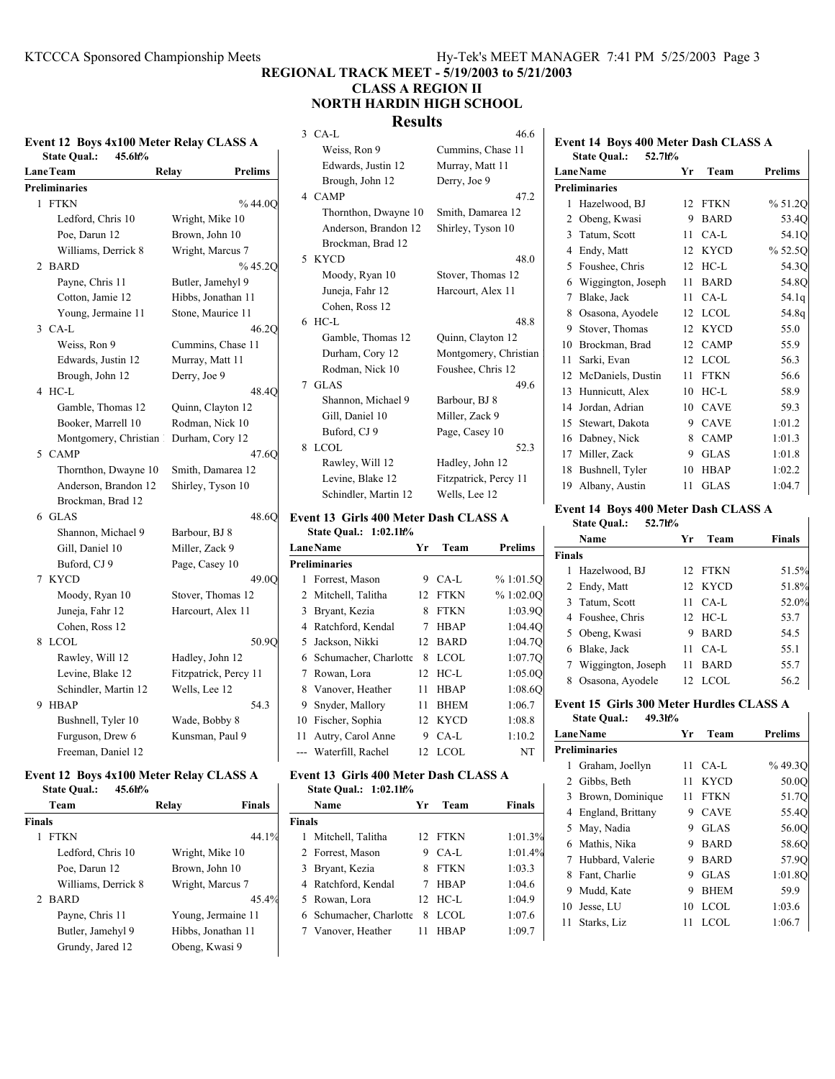**REGIONAL TRACK MEET - 5/19/2003 to 5/21/2003**

## **CLASS A REGION II NORTH HARDIN HIGH SCHOOL**

## **Results**

## **Event 12 Boys 4x100 Meter Relay CLASS A State Qual.: 45.6h%**

| <b>LaneTeam</b>       | Relay<br>Prelims      |
|-----------------------|-----------------------|
| <b>Preliminaries</b>  |                       |
| 1 FTKN                | %44.0Q                |
| Ledford, Chris 10     | Wright, Mike 10       |
| Poe, Darun 12         | Brown, John 10        |
| Williams, Derrick 8   | Wright, Marcus 7      |
| 2<br><b>BARD</b>      | % 45.2Q               |
| Payne, Chris 11       | Butler, Jamehyl 9     |
| Cotton, Jamie 12      | Hibbs, Jonathan 11    |
| Young, Jermaine 11    | Stone, Maurice 11     |
| 3 CA-L                | 46.2O                 |
| Weiss, Ron 9          | Cummins, Chase 11     |
| Edwards, Justin 12    | Murray, Matt 11       |
| Brough, John 12       | Derry, Joe 9          |
| HC-L<br>4             | 48.4Q                 |
| Gamble, Thomas 12     | Quinn, Clayton 12     |
| Booker, Marrell 10    | Rodman, Nick 10       |
| Montgomery, Christian | Durham, Cory 12       |
| 5<br><b>CAMP</b>      | 47.6Q                 |
| Thornthon, Dwayne 10  | Smith, Damarea 12     |
| Anderson, Brandon 12  | Shirley, Tyson 10     |
| Brockman, Brad 12     |                       |
| 6<br><b>GLAS</b>      | 48.6O                 |
| Shannon, Michael 9    | Barbour, BJ 8         |
| Gill, Daniel 10       | Miller, Zack 9        |
| Buford, CJ 9          | Page, Casey 10        |
| <b>KYCD</b><br>7      | 49.0O                 |
| Moody, Ryan 10        | Stover, Thomas 12     |
| Juneja, Fahr 12       | Harcourt, Alex 11     |
| Cohen, Ross 12        |                       |
| <b>LCOL</b><br>8      | 50.9Q                 |
| Rawley, Will 12       | Hadley, John 12       |
| Levine, Blake 12      | Fitzpatrick, Percy 11 |
| Schindler, Martin 12  | Wells, Lee 12         |
| 9<br><b>HBAP</b>      | 54.3                  |
| Bushnell, Tyler 10    | Wade, Bobby 8         |
| Furguson, Drew 6      | Kunsman, Paul 9       |
| Freeman, Daniel 12    |                       |

#### **Event 12 Boys 4x100 Meter Relay CLASS A State Qual.: 45.6h%**

| <br>                |                    |               |
|---------------------|--------------------|---------------|
| Team                | Relav              | <b>Finals</b> |
| Finals              |                    |               |
| <b>FTKN</b>         |                    | 44.1%         |
| Ledford, Chris 10   | Wright, Mike 10    |               |
| Poe, Darun 12       | Brown, John 10     |               |
| Williams, Derrick 8 | Wright, Marcus 7   |               |
| 2 BARD              |                    | 45.4%         |
| Payne, Chris 11     | Young, Jermaine 11 |               |
| Butler, Jamehyl 9   | Hibbs, Jonathan 11 |               |
| Grundy, Jared 12    | Obeng, Kwasi 9     |               |
|                     |                    |               |

|   | Results              |                       |
|---|----------------------|-----------------------|
|   | $3$ CA-L             | 46.6                  |
|   | Weiss, Ron 9         | Cummins, Chase 11     |
|   | Edwards, Justin 12   | Murray, Matt 11       |
|   | Brough, John 12      | Derry, Joe 9          |
|   | 4 CAMP               | 47.2                  |
|   | Thornthon, Dwayne 10 | Smith, Damarea 12     |
|   | Anderson, Brandon 12 | Shirley, Tyson 10     |
|   | Brockman, Brad 12    |                       |
|   | 5 KYCD               | 48.0                  |
|   | Moody, Ryan 10       | Stover, Thomas 12     |
|   | Juneja, Fahr 12      | Harcourt, Alex 11     |
|   | Cohen, Ross 12       |                       |
|   | $6$ HC-L             | 48.8                  |
|   | Gamble, Thomas 12    | Quinn, Clayton 12     |
|   | Durham, Cory 12      | Montgomery, Christian |
|   | Rodman, Nick 10      | Foushee, Chris 12     |
|   | 7 GLAS               | 49.6                  |
|   | Shannon, Michael 9   | Barbour, BJ 8         |
|   | Gill, Daniel 10      | Miller, Zack 9        |
|   | Buford, CJ 9         | Page, Casey 10        |
| 8 | LCOL                 | 52.3                  |
|   | Rawley, Will 12      | Hadley, John 12       |
|   | Levine, Blake 12     | Fitzpatrick, Percy 11 |
|   | Schindler, Martin 12 | Wells, Lee 12         |
|   |                      |                       |

## **Event 13 Girls 400 Meter Dash CLASS A State Qual.: 1:02.1h%**

| <b>LaneName</b> |                         |     | Team        | <b>Prelims</b> |  |  |  |  |
|-----------------|-------------------------|-----|-------------|----------------|--|--|--|--|
|                 | <b>Preliminaries</b>    |     |             |                |  |  |  |  |
|                 | 1 Forrest, Mason        | 9   | CA-L        | % 1:01.5Q      |  |  |  |  |
|                 | 2 Mitchell, Talitha     |     | 12 FTKN     | %1:02.0O       |  |  |  |  |
|                 | 3 Bryant, Kezia         | 8   | <b>FTKN</b> | 1:03.90        |  |  |  |  |
|                 | 4 Ratchford, Kendal     | 7   | <b>HBAP</b> | 1:04.40        |  |  |  |  |
|                 | 5 Jackson, Nikki        |     | 12 BARD     | 1:04.7Q        |  |  |  |  |
|                 | 6 Schumacher, Charlotte | 8   | LCOL.       | 1:07.70        |  |  |  |  |
| 7               | Rowan, Lora             | 12. | $HC-L$      | 1:05.00        |  |  |  |  |
|                 | 8 Vanover, Heather      | 11  | <b>HBAP</b> | 1:08.60        |  |  |  |  |
|                 | 9 Snyder, Mallory       | 11  | <b>BHEM</b> | 1:06.7         |  |  |  |  |
| 10              | Fischer, Sophia         |     | 12 KYCD     | 1:08.8         |  |  |  |  |
| 11.             | Autry, Carol Anne       | 9   | $CA-L$      | 1:10.2         |  |  |  |  |
|                 | --- Waterfill, Rachel   | 12  | LCOL        | NT             |  |  |  |  |

## **Event 13 Girls 400 Meter Dash CLASS A State Qual.: 1:02.1h%**

 $\mathbf{L}$ 

|               | Name                    | Yr | Team        | Finals  |  |
|---------------|-------------------------|----|-------------|---------|--|
| <b>Finals</b> |                         |    |             |         |  |
|               | 1 Mitchell, Talitha     |    | 12 FTKN     | 1:01.3% |  |
|               | 2 Forrest, Mason        | 9  | CA-L        | 1:01.4% |  |
|               | 3 Bryant, Kezia         | 8  | FTKN        | 1:03.3  |  |
|               | 4 Ratchford, Kendal     | 7  | <b>HBAP</b> | 1:04.6  |  |
|               | 5 Rowan, Lora           |    | 12 HC-L     | 1:04.9  |  |
|               | 6 Schumacher, Charlotte | 8  | <b>LCOL</b> | 1:07.6  |  |
|               | 7 Vanover, Heather      | 11 | HBAP        | 1:09.7  |  |
|               |                         |    |             |         |  |

## **Event 14 Boys 400 Meter Dash CLASS A State Qual.: 52.7h%**

|    | LaneName             | Yr | Team        | <b>Prelims</b> |
|----|----------------------|----|-------------|----------------|
|    | <b>Preliminaries</b> |    |             |                |
| 1  | Hazelwood, BJ        | 12 | <b>FTKN</b> | % 51.2Q        |
| 2  | Obeng, Kwasi         | 9  | <b>BARD</b> | 53.4Q          |
| 3  | Tatum, Scott         | 11 | $CA-L$      | 54.1Q          |
| 4  | Endy, Matt           | 12 | <b>KYCD</b> | % 52.5Q        |
| 5  | Foushee, Chris       | 12 | $HC-L$      | 54.3Q          |
| 6  | Wiggington, Joseph   | 11 | <b>BARD</b> | 54.8Q          |
| 7  | Blake, Jack          | 11 | $CA-L$      | 54.1q          |
| 8  | Osasona, Ayodele     | 12 | <b>LCOL</b> | 54.8q          |
| 9  | Stover, Thomas       | 12 | <b>KYCD</b> | 55.0           |
| 10 | Brockman, Brad       | 12 | <b>CAMP</b> | 55.9           |
| 11 | Sarki, Evan          | 12 | <b>LCOL</b> | 56.3           |
| 12 | McDaniels, Dustin    | 11 | <b>FTKN</b> | 56.6           |
| 13 | Hunnicutt, Alex      | 10 | $HC-L$      | 58.9           |
| 14 | Jordan, Adrian       | 10 | <b>CAVE</b> | 59.3           |
| 15 | Stewart, Dakota      | 9  | <b>CAVE</b> | 1:01.2         |
| 16 | Dabney, Nick         | 8  | <b>CAMP</b> | 1:01.3         |
| 17 | Miller, Zack         | 9  | <b>GLAS</b> | 1:01.8         |
| 18 | Bushnell, Tyler      | 10 | <b>HBAP</b> | 1:02.2         |
| 19 | Albany, Austin       | 11 | <b>GLAS</b> | 1:04.7         |

## **Event 14 Boys 400 Meter Dash CLASS A**

**State Qual.: 52.7h%**

|               | Name                 | Уr | Team              | <b>Finals</b> |
|---------------|----------------------|----|-------------------|---------------|
| <b>Finals</b> |                      |    |                   |               |
| 1             | Hazelwood, BJ        |    | 12 FTKN           | 51.5%         |
|               | 2 Endy, Matt         |    | 12 KYCD           | 51.8%         |
|               | 3 Tatum, Scott       |    | $11 \text{ CA-L}$ | 52.0%         |
|               | 4 Foushee, Chris     |    | $12$ HC-L         | 53.7          |
|               | 5 Obeng, Kwasi       | 9  | <b>BARD</b>       | 54.5          |
|               | 6 Blake, Jack        | 11 | CA-L              | 55.1          |
|               | 7 Wiggington, Joseph | 11 | <b>BARD</b>       | 55.7          |
| 8             | Osasona, Ayodele     | 12 | LCOL.             | 56.2          |

 $\overline{1}$ 

 $\mathbf{I}$ 

#### **Event 15 Girls 300 Meter Hurdles CLASS A State Qual.: 49.3h%**

|                      | LaneName            | Yr | Team        | <b>Prelims</b> |  |  |
|----------------------|---------------------|----|-------------|----------------|--|--|
| <b>Preliminaries</b> |                     |    |             |                |  |  |
| 1                    | Graham, Joellyn     | 11 | CA-L        | %49.3O         |  |  |
|                      | 2 Gibbs, Beth       | 11 | <b>KYCD</b> | 50.0O          |  |  |
|                      | 3 Brown, Dominique  | 11 | <b>FTKN</b> | 51.7Q          |  |  |
|                      | 4 England, Brittany | 9  | <b>CAVE</b> | 55.4Q          |  |  |
|                      | 5 May, Nadia        | 9  | <b>GLAS</b> | 56.0O          |  |  |
|                      | 6 Mathis, Nika      | 9  | <b>BARD</b> | 58.6O          |  |  |
|                      | 7 Hubbard, Valerie  | 9  | <b>BARD</b> | 57.9O          |  |  |
| 8                    | Fant, Charlie       | 9  | <b>GLAS</b> | 1:01.80        |  |  |
| 9.                   | Mudd, Kate          | 9  | <b>BHEM</b> | 59.9           |  |  |
|                      | 10 Jesse, LU        | 10 | LCOL        | 1:03.6         |  |  |
| 11                   | Starks, Liz         | 11 | <b>LCOL</b> | 1:06.7         |  |  |
|                      |                     |    |             |                |  |  |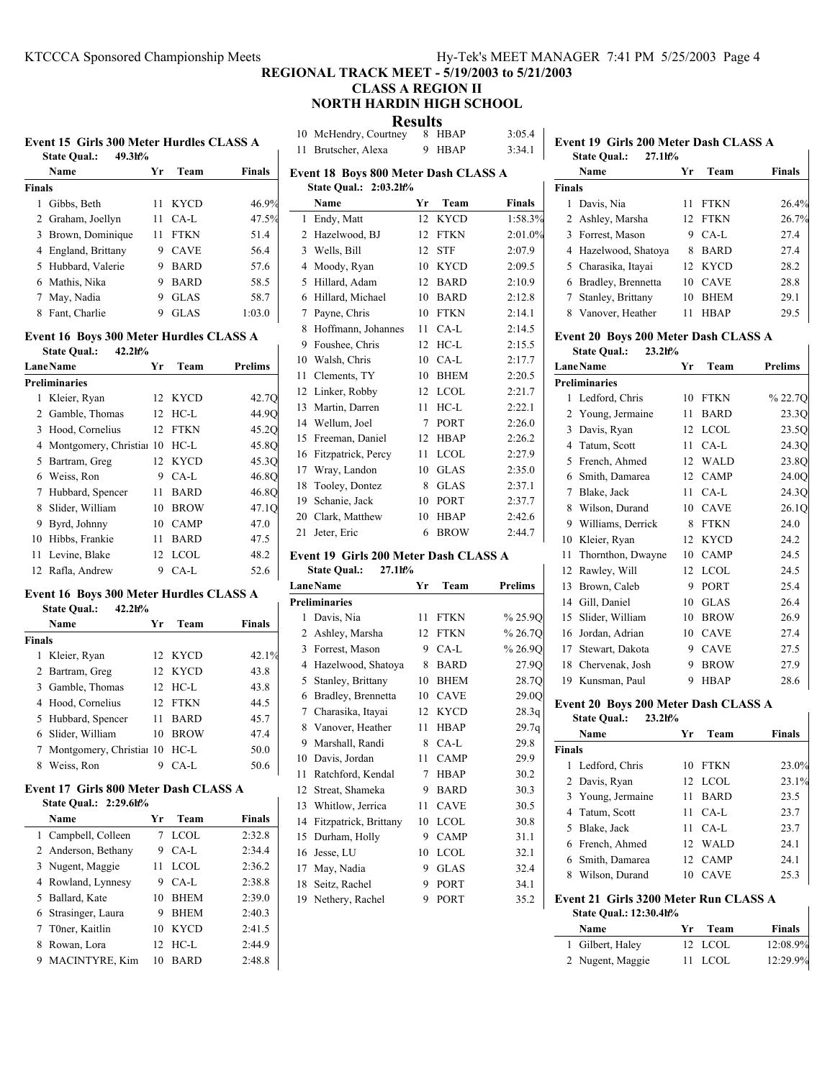## **REGIONAL TRACK MEET - 5/19/2003 to 5/21/2003**

## **CLASS A REGION II NORTH HARDIN HIGH SCHOOL**

 $\mathbf{R}$ 

| Event 15 Girls 300 Meter Hurdles CLASS A |        |  |
|------------------------------------------|--------|--|
| <b>State Qual.:</b>                      | 49.3h% |  |

 $\mathbf{I}$ 

|        | Name                | Yr | Team        | <b>Finals</b> |  |  |
|--------|---------------------|----|-------------|---------------|--|--|
| Finals |                     |    |             |               |  |  |
|        | Gibbs, Beth         | 11 | <b>KYCD</b> | 46.9%         |  |  |
|        | 2 Graham, Joellyn   | 11 | CA-L        | 47.5%         |  |  |
|        | 3 Brown, Dominique  | 11 | <b>FTKN</b> | 51.4          |  |  |
|        | 4 England, Brittany | 9  | <b>CAVE</b> | 56.4          |  |  |
|        | 5 Hubbard, Valerie  | 9  | <b>BARD</b> | 57.6          |  |  |
|        | 6 Mathis, Nika      | 9  | <b>BARD</b> | 58.5          |  |  |
|        | May, Nadia          | 9  | <b>GLAS</b> | 58.7          |  |  |
| 8      | Fant, Charlie       |    | <b>GLAS</b> | 1:03.0        |  |  |
|        |                     |    |             |               |  |  |

## **Event 16 Boys 300 Meter Hurdles CLASS A**

| 42.2h%<br><b>State Qual.:</b> |                            |     |             |         |  |  |
|-------------------------------|----------------------------|-----|-------------|---------|--|--|
|                               | <b>Lane Name</b>           | Yr  | Team        | Prelims |  |  |
|                               | Preliminaries              |     |             |         |  |  |
|                               | 1 Kleier, Ryan             |     | 12 KYCD     | 42.7Q   |  |  |
|                               | 2 Gamble, Thomas           |     | 12 HC-L     | 44.9Q   |  |  |
|                               | 3 Hood, Cornelius          |     | 12 FTKN     | 45.20   |  |  |
|                               | 4 Montgomery, Christian 10 |     | $HC-L$      | 45.8Q   |  |  |
|                               | 5 Bartram, Greg            |     | 12 KYCD     | 45.3Q   |  |  |
|                               | 6 Weiss, Ron               | 9.  | $CA-L$      | 46.8Q   |  |  |
|                               | 7 Hubbard, Spencer         | 11  | <b>BARD</b> | 46.8Q   |  |  |
|                               | 8 Slider, William          | 10  | <b>BROW</b> | 47.10   |  |  |
| 9.                            | Byrd, Johnny               | 10. | <b>CAMP</b> | 47.0    |  |  |
|                               | 10 Hibbs, Frankie          | 11  | <b>BARD</b> | 47.5    |  |  |
| 11.                           | Levine, Blake              |     | $12$ LCOL   | 48.2    |  |  |
|                               | 12 Rafla, Andrew           | 9   | CA-L        | 52.6    |  |  |

## **Event 16 Boys 300 Meter Hurdles CLASS A**

|               | 42.2h%<br><b>State Qual.:</b>   |    |             |               |
|---------------|---------------------------------|----|-------------|---------------|
|               | Name                            | Yr | Team        | <b>Finals</b> |
| <b>Finals</b> |                                 |    |             |               |
|               | 1 Kleier, Ryan                  |    | 12 KYCD     | 42.1%         |
|               | 2 Bartram, Greg                 |    | 12 KYCD     | 43.8          |
|               | 3 Gamble, Thomas                |    | $12$ HC-L   | 43.8          |
|               | 4 Hood, Cornelius               |    | 12 FTKN     | 44.5          |
|               | 5 Hubbard, Spencer              | 11 | <b>BARD</b> | 45.7          |
|               | 6 Slider, William               | 10 | <b>BROW</b> | 47.4          |
|               | 7 Montgomery, Christial 10 HC-L |    |             | 50.0          |
| 8             | Weiss, Ron                      | 9  | $CA-I$ .    | 50.6          |

#### **Event 17 Girls 800 Meter Dash CLASS A State Qual.: 2:29.6h%**

| 9.400 Vual 4.47.007 |                       |    |             |        |
|---------------------|-----------------------|----|-------------|--------|
|                     | Name                  | Уr | Team        | Finals |
|                     | 1 Campbell, Colleen   |    | <b>LCOL</b> | 2:32.8 |
|                     | 2 Anderson, Bethany   | 9  | CA-L        | 2:34.4 |
|                     | 3 Nugent, Maggie      | 11 | <b>LCOL</b> | 2:36.2 |
|                     | 4 Rowland, Lynnesy    | 9  | $CA-I.$     | 2:38.8 |
|                     | 5 Ballard, Kate       | 10 | <b>BHEM</b> | 2:39.0 |
|                     | 6 Strasinger, Laura   | 9  | <b>BHEM</b> | 2:40.3 |
|                     | 7 T0ner, Kaitlin      | 10 | <b>KYCD</b> | 2:41.5 |
|                     | 8 Rowan, Lora         | 12 | HC-L        | 2:44.9 |
| 9                   | <b>MACINTYRE, Kim</b> | 10 | <b>BARD</b> | 2:48.8 |

| <b>Results</b> |                              |  |        |        |  |
|----------------|------------------------------|--|--------|--------|--|
|                | 10 McHendry, Courtney 8 HBAP |  |        | 3:05.4 |  |
|                | 11 Brutscher, Alexa          |  | 9 HBAP | 3:34.1 |  |

| Event 18 Boys 800 Meter Dash CLASS A |        |                       |               |  |
|--------------------------------------|--------|-----------------------|---------------|--|
|                                      |        |                       |               |  |
| Name                                 | Yr     | Team                  | <b>Finals</b> |  |
| Endy, Matt                           | 12     | <b>KYCD</b>           | 1:58.3%       |  |
| Hazelwood, BJ                        | 12     | <b>FTKN</b>           | 2:01.0%       |  |
| Wells, Bill                          | 12     | <b>STF</b>            | 2:07.9        |  |
| Moody, Ryan                          | 10     | <b>KYCD</b>           | 2:09.5        |  |
| Hillard, Adam                        | 12     | <b>BARD</b>           | 2:10.9        |  |
| Hillard, Michael                     | 10     | <b>BARD</b>           | 2:12.8        |  |
| Payne, Chris                         | 10     | <b>FTKN</b>           | 2:14.1        |  |
| Hoffmann, Johannes                   | 11     | $CA-L$                | 2:14.5        |  |
| Foushee, Chris                       | 12     | $HC-L$                | 2:15.5        |  |
| Walsh, Chris                         | 10     | $CA-L$                | 2:17.7        |  |
| Clements, TY                         | 10     | <b>BHEM</b>           | 2:20.5        |  |
| Linker, Robby                        | 12     | <b>LCOL</b>           | 2:21.7        |  |
| Martin, Darren                       | 11     | $HC-L$                | 2:22.1        |  |
| Wellum, Joel                         | $\tau$ | PORT                  | 2:26.0        |  |
| Freeman, Daniel                      | 12     | <b>HBAP</b>           | 2:26.2        |  |
| Fitzpatrick, Percy                   | 11     | <b>LCOL</b>           | 2:27.9        |  |
| Wray, Landon                         | 10     | <b>GLAS</b>           | 2:35.0        |  |
| Tooley, Dontez                       | 8      | <b>GLAS</b>           | 2:37.1        |  |
| Schanie, Jack                        | 10     | PORT                  | 2:37.7        |  |
| Clark, Matthew                       | 10     | <b>HBAP</b>           | 2:42.6        |  |
| Jeter, Eric                          | 6      | <b>BROW</b>           | 2:44.7        |  |
|                                      |        | State Qual.: 2:03.2h% |               |  |

## **Event 19 Girls 200 Meter Dash CLASS A**

|    | <b>State Qual.:</b><br>27.1h% |    |             |                |
|----|-------------------------------|----|-------------|----------------|
|    | <b>LaneName</b>               | Yr | Team        | <b>Prelims</b> |
|    | <b>Preliminaries</b>          |    |             |                |
| 1  | Davis, Nia                    | 11 | <b>FTKN</b> | %25.9Q         |
| 2  | Ashley, Marsha                | 12 | <b>FTKN</b> | % 26.7Q        |
| 3  | Forrest, Mason                | 9  | $CA-L$      | %26.9Q         |
| 4  | Hazelwood, Shatoya            | 8  | <b>BARD</b> | 27.9Q          |
| 5  | Stanley, Brittany             | 10 | <b>BHEM</b> | 28.7Q          |
| 6  | Bradley, Brennetta            | 10 | <b>CAVE</b> | 29.0Q          |
| 7  | Charasika, Itayai             | 12 | <b>KYCD</b> | 28.3q          |
| 8  | Vanover, Heather              | 11 | <b>HBAP</b> | 29.7q          |
| 9  | Marshall, Randi               | 8  | $CA-I$      | 29.8           |
| 10 | Davis, Jordan                 | 11 | <b>CAMP</b> | 29.9           |
| 11 | Ratchford, Kendal             | 7  | <b>HBAP</b> | 30.2           |
| 12 | Streat, Shameka               | 9  | <b>BARD</b> | 30.3           |
| 13 | Whitlow, Jerrica              | 11 | <b>CAVE</b> | 30.5           |
| 14 | Fitzpatrick, Brittany         | 10 | <b>LCOL</b> | 30.8           |
| 15 | Durham, Holly                 | 9  | <b>CAMP</b> | 31.1           |
| 16 | Jesse, LU                     | 10 | LCOL        | 32.1           |
| 17 | May, Nadia                    | 9  | <b>GLAS</b> | 32.4           |
| 18 | Seitz, Rachel                 | 9  | PORT        | 34.1           |
| 19 | Nethery, Rachel               | 9  | PORT        | 35.2           |
|    |                               |    |             |                |

|               | <b>State Qual.:</b><br>27.1h%        |    |             |                |
|---------------|--------------------------------------|----|-------------|----------------|
|               | Name                                 | Yг | Team        | Finals         |
| <b>Finals</b> |                                      |    |             |                |
| 1             | Davis, Nia                           | 11 | <b>FTKN</b> | 26.4%          |
| 2             | Ashley, Marsha                       | 12 | <b>FTKN</b> | 26.7%          |
| 3             | Forrest, Mason                       | 9  | CA-L        | 27.4           |
| 4             | Hazelwood, Shatoya                   | 8  | <b>BARD</b> | 27.4           |
| 5             | Charasika, Itayai                    | 12 | <b>KYCD</b> | 28.2           |
| 6             | Bradley, Brennetta                   | 10 | <b>CAVE</b> | 28.8           |
| 7             | Stanley, Brittany                    | 10 | <b>BHEM</b> | 29.1           |
| 8             | Vanover, Heather                     | 11 | <b>HBAP</b> | 29.5           |
|               | Event 20 Boys 200 Meter Dash CLASS A |    |             |                |
|               | <b>State Qual.:</b><br>$23.2h$ %     |    |             |                |
|               | <b>LaneName</b>                      | Yr | Team        | <b>Prelims</b> |
|               | <b>Preliminaries</b>                 |    |             |                |
| 1.            | Ledford, Chris                       | 10 | <b>FTKN</b> | % 22.70        |
| 2             | Young, Jermaine                      | 11 | <b>BARD</b> | 23.30          |
| 3             | Davis, Ryan                          | 12 | LCOL        | 23.5Q          |

4 24.3Q Tatum, Scott 11 CA-L 5 23.8Q French, Ahmed 12 WALD 6 24.0Q Smith, Damarea 12 CAMP 7 24.3Q Blake, Jack 11 CA-L 8 Wilson, Durand 10 CAVE 26.1Q 9 Williams, Derrick 8 FTKN 24.0 10 Kleier, Ryan 12 KYCD 24.2 11 Thornthon, Dwayne 10 CAMP 24.5 12 Rawley, Will 12 LCOL 24.5 13 Brown, Caleb 9 PORT 25.4 14 26.4 Gill, Daniel 10 GLAS

**Event 19 Girls 200 Meter Dash CLASS A**

| Event 20 Boys 200 Meter Dash CLASS A |                    |  |         |      |  |
|--------------------------------------|--------------------|--|---------|------|--|
|                                      | 19 Kunsman, Paul   |  | 9 HBAP  | 28.6 |  |
|                                      | 18 Chervenak, Josh |  | 9 BROW  | 27.9 |  |
|                                      | 17 Stewart, Dakota |  | 9 CAVE  | 27.5 |  |
|                                      | 16 Jordan, Adrian  |  | 10 CAVE | 27.4 |  |
|                                      | 15 Slider, William |  | 10 BROW | 26.9 |  |

## **State Qual.: 23.2h%**

|               | Name              | Yr | Team        | Finals |
|---------------|-------------------|----|-------------|--------|
| <b>Finals</b> |                   |    |             |        |
|               | 1 Ledford, Chris  |    | 10 FTKN     | 23.0%  |
|               | 2 Davis, Ryan     |    | 12 LCOL     | 23.1%  |
|               | 3 Young, Jermaine | 11 | <b>BARD</b> | 23.5   |
|               | 4 Tatum, Scott    |    | 11 CA-L     | 23.7   |
|               | 5 Blake, Jack     | 11 | $CA-I$      | 23.7   |
|               | 6 French, Ahmed   |    | 12 WALD     | 24.1   |
|               | 6 Smith, Damarea  |    | 12 CAMP     | 24.1   |
| 8             | Wilson, Durand    |    | <b>CAVE</b> | 25.3   |
|               |                   |    |             |        |

 $\mathbf{I}$ 

 $\overline{1}$ 

#### **Event 21 Girls 3200 Meter Run CLASS A State Qual.: 12:30.4h%**

| <b>Name</b>      | Yr Team | <b>Finals</b> |
|------------------|---------|---------------|
| 1 Gilbert, Haley | 12 LCOL | 12:08.9%      |
| 2 Nugent, Maggie | 11 LCOL | 12:29.9%      |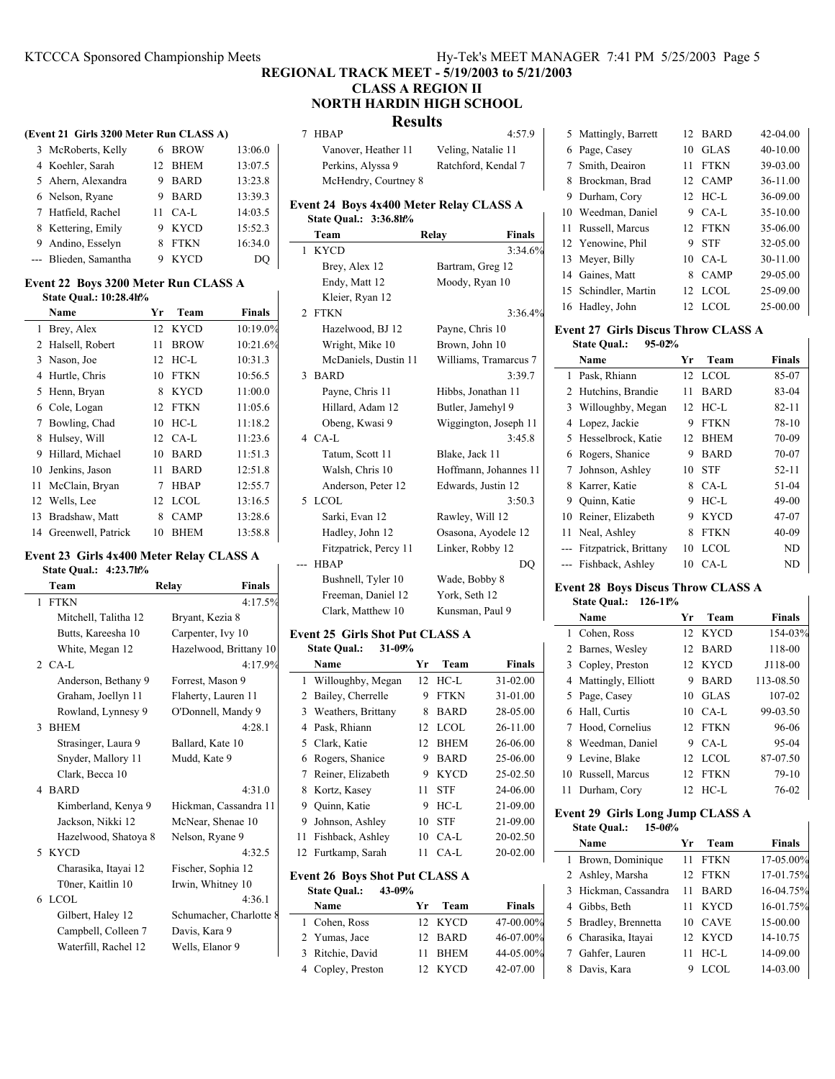# **REGIONAL TRACK MEET - 5/19/2003 to 5/21/2003**

## **CLASS A REGION II NORTH HARDIN HIGH SCHOOL**

## **Results**

|  |  | (Event 21 Girls 3200 Meter Run CLASS A) |  |  |
|--|--|-----------------------------------------|--|--|
|--|--|-----------------------------------------|--|--|

| 3 McRoberts, Kelly    |   | 6 BROW  | 13:06.0 |
|-----------------------|---|---------|---------|
| 4 Koehler, Sarah      |   | 12 BHEM | 13:07.5 |
| 5 Ahern, Alexandra    |   | 9 BARD  | 13:23.8 |
| 6 Nelson, Ryane       |   | 9 BARD  | 13:39.3 |
| 7 Hatfield, Rachel    |   | 11 CA-L | 14:03.5 |
| 8 Kettering, Emily    |   | 9 KYCD  | 15:52.3 |
| 9 Andino, Esselyn     |   | 8 FTKN  | 16:34.0 |
| --- Blieden, Samantha | 9 | KYCD    | DO      |

#### **Event 22 Boys 3200 Meter Run CLASS A State Qual.: 10:28.4h%**

|     | Name               | Yr               | Team        | <b>Finals</b> |
|-----|--------------------|------------------|-------------|---------------|
| 1   | Brey, Alex         |                  | 12 KYCD     | 10:19.0%      |
|     | 2 Halsell, Robert  | 11               | <b>BROW</b> | 10:21.6%      |
|     | 3 Nason, Joe       | 12               | $HC-I$      | 10:31.3       |
|     | 4 Hurtle, Chris    | 10               | <b>FTKN</b> | 10:56.5       |
|     | 5 Henn, Bryan      | 8                | <b>KYCD</b> | 11:00.0       |
|     | 6 Cole, Logan      | 12               | <b>FTKN</b> | 11:05.6       |
| 7   | Bowling, Chad      | 10               | $HC-I$      | 11:18.2       |
| 8   | Hulsey, Will       | 12 <sup>12</sup> | CA-L        | 11:23.6       |
| 9   | Hillard, Michael   | 10               | <b>BARD</b> | 11:51.3       |
| 10. | Jenkins, Jason     | 11               | <b>BARD</b> | 12:51.8       |
| 11  | McClain, Bryan     | 7                | <b>HBAP</b> | 12:55.7       |
|     | 12 Wells, Lee      | 12               | <b>LCOL</b> | 13:16.5       |
| 13  | Bradshaw, Matt     | 8                | <b>CAMP</b> | 13:28.6       |
| 14  | Greenwell, Patrick | 10               | <b>BHEM</b> | 13:58.8       |

# **Event 23 Girls 4x400 Meter Relay CLASS A**

| <b>State Qual.: 4:23.7h%</b> |  |
|------------------------------|--|
|------------------------------|--|

| Relay<br><b>Finals</b>                       |
|----------------------------------------------|
| 4:17.5%                                      |
| Bryant, Kezia 8                              |
| Carpenter, Ivy 10                            |
| Hazelwood, Brittany 10                       |
| 4:17.9%                                      |
| Forrest, Mason 9                             |
| Flaherty, Lauren 11                          |
| O'Donnell, Mandy 9                           |
| 4:28.1                                       |
| Ballard, Kate 10                             |
| Mudd, Kate 9                                 |
|                                              |
| 4:31.0                                       |
| Kimberland, Kenya 9<br>Hickman, Cassandra 11 |
| McNear, Shenae 10                            |
| Hazelwood, Shatoya 8<br>Nelson, Ryane 9      |
| 4:32.5                                       |
| Fischer, Sophia 12                           |
| Irwin, Whitney 10                            |
| 4:36.1                                       |
| Schumacher, Charlotte 8                      |
| Davis, Kara 9                                |
| Wells, Elanor 9                              |
|                                              |

| 7 HBAP               | 4:57.9              |
|----------------------|---------------------|
| Vanover, Heather 11  | Veling, Natalie 11  |
| Perkins, Alyssa 9    | Ratchford, Kendal 7 |
| McHendry, Courtney 8 |                     |

## **Event 24 Boys 4x400 Meter Relay CLASS A State Qual.: 3:36.8h%**

|    | Team                  | <b>Finals</b><br>Relay |
|----|-----------------------|------------------------|
| 1. | <b>KYCD</b>           | 3:34.6%                |
|    | Brey, Alex 12         | Bartram, Greg 12       |
|    | Endy, Matt 12         | Moody, Ryan 10         |
|    | Kleier, Ryan 12       |                        |
|    | 2 FTKN                | 3:36.4%                |
|    | Hazelwood, BJ 12      | Payne, Chris 10        |
|    | Wright, Mike 10       | Brown, John 10         |
|    | McDaniels, Dustin 11  | Williams, Tramarcus 7  |
| 3  | <b>BARD</b>           | 3:39.7                 |
|    | Payne, Chris 11       | Hibbs, Jonathan 11     |
|    | Hillard, Adam 12      | Butler, Jamehyl 9      |
|    | Obeng, Kwasi 9        | Wiggington, Joseph 11  |
|    | $4$ CA-L              | 3:45.8                 |
|    | Tatum, Scott 11       | Blake, Jack 11         |
|    | Walsh, Chris 10       | Hoffmann, Johannes 11  |
|    | Anderson, Peter 12    | Edwards, Justin 12     |
|    | 5 LCOL                | 3:50.3                 |
|    | Sarki, Evan 12        | Rawley, Will 12        |
|    | Hadley, John 12       | Osasona, Ayodele 12    |
|    | Fitzpatrick, Percy 11 | Linker, Robby 12       |
|    | <b>HBAP</b>           | DO                     |
|    | Bushnell, Tyler 10    | Wade, Bobby 8          |
|    | Freeman, Daniel 12    | York, Seth 12          |
|    | Clark, Matthew 10     | Kunsman, Paul 9        |

#### **Event 25 Girls Shot Put CLASS A State Qual.: 31-09%**

|    | statt Vuan.<br>$\boldsymbol{\mathsf{u}}$ - $\boldsymbol{\mathsf{v}}$ / $\boldsymbol{\mathsf{v}}$ |    |             |           |
|----|--------------------------------------------------------------------------------------------------|----|-------------|-----------|
|    | Name                                                                                             | Yr | Team        | Finals    |
| 1  | Willoughby, Megan                                                                                | 12 | $HC-L$      | 31-02.00  |
| 2  | Bailey, Cherrelle                                                                                | 9  | <b>FTKN</b> | 31-01.00  |
| 3  | Weathers, Brittany                                                                               | 8  | <b>BARD</b> | 28-05.00  |
| 4  | Pask, Rhiann                                                                                     | 12 | <b>LCOL</b> | 26-11.00  |
| 5  | Clark, Katie                                                                                     | 12 | <b>BHEM</b> | 26-06.00  |
| 6  | Rogers, Shanice                                                                                  | 9  | <b>BARD</b> | 25-06.00  |
| 7  | Reiner, Elizabeth                                                                                | 9  | <b>KYCD</b> | 25-02.50  |
| 8  | Kortz, Kasey                                                                                     | 11 | <b>STF</b>  | 24-06.00  |
| 9  | Quinn, Katie                                                                                     | 9  | $HC-L$      | 21-09.00  |
| 9  | Johnson, Ashley                                                                                  | 10 | <b>STF</b>  | 21-09.00  |
| 11 | Fishback, Ashley                                                                                 | 10 | CA-L        | 20-02.50  |
| 12 | Furtkamp, Sarah                                                                                  | 11 | $CA-L$      | 20-02.00  |
|    | <b>Event 26 Boys Shot Put CLASS A</b><br><b>State Qual.:</b><br>43-09%                           |    |             |           |
|    | Name                                                                                             | Yr | Team        | Finals    |
| 1  | Cohen, Ross                                                                                      | 12 | <b>KYCD</b> | 47-00.00% |
| 2  | Yumas, Jace                                                                                      | 12 | <b>BARD</b> | 46-07.00% |
| 3  | Ritchie, David                                                                                   | 11 | <b>BHEM</b> | 44-05.00% |
| 4  | Copley, Preston                                                                                  | 12 | <b>KYCD</b> | 42-07.00  |

| 5 Mattingly, Barrett |     | 12 BARD     | $42 - 04.00$ |
|----------------------|-----|-------------|--------------|
| 6 Page, Casey        | 10  | <b>GLAS</b> | $40 - 10.00$ |
| 7 Smith, Deairon     | 11  | <b>FTKN</b> | 39-03.00     |
| 8 Brockman, Brad     |     | 12 CAMP     | 36-11.00     |
| 9 Durham, Cory       |     | $12$ HC-L   | 36-09.00     |
| 10 Weedman, Daniel   | 9   | $CA-I$      | 35-10.00     |
| 11 Russell, Marcus   |     | 12 FTKN     | 35-06.00     |
| 12 Yenowine, Phil    | 9   | <b>STF</b>  | 32-05.00     |
| 13 Meyer, Billy      | 10  | CA-L        | 30-11.00     |
| 14 Gaines, Matt      | 8   | <b>CAMP</b> | 29-05.00     |
| 15 Schindler, Martin | 12. | LCOL        | 25-09.00     |
| 16 Hadley, John      | 12. | LCOL        | 25-00.00     |

#### **Event 27 Girls Discus Throw CLASS A State Qual.: 95-02%**

|    | Name                  | Уr              | Team        | <b>Finals</b> |
|----|-----------------------|-----------------|-------------|---------------|
| 1  | Pask, Rhiann          |                 | 12 LCOL     | 85-07         |
| 2  | Hutchins, Brandie     | 11              | <b>BARD</b> | 83-04         |
|    | 3 Willoughby, Megan   | 12              | $HC-I$      | $82 - 11$     |
|    | 4 Lopez, Jackie       | 9               | <b>FTKN</b> | 78-10         |
|    | 5 Hesselbrock, Katie  | 12 <sub>1</sub> | <b>BHEM</b> | 70-09         |
| 6  | Rogers, Shanice       | 9               | <b>BARD</b> | 70-07         |
| 7  | Johnson, Ashley       | 10              | <b>STF</b>  | $52 - 11$     |
| 8  | Karrer, Katie         | 8               | CA-L        | $51-04$       |
| 9  | Quinn, Katie          | 9               | $HC-L$      | 49-00         |
| 10 | Reiner, Elizabeth     | 9               | <b>KYCD</b> | 47-07         |
| 11 | Neal, Ashley          | 8               | <b>FTKN</b> | 40-09         |
|    | Fitzpatrick, Brittany | 10              | LCOL        | <b>ND</b>     |
|    | Fishback, Ashley      | 10              | CA-L        | ND            |
|    |                       |                 |             |               |

## **Event 28 Boys Discus Throw CLASS A State Qual.: 126-11%**

|    | Name                 | Уr  | Team        | <b>Finals</b> |
|----|----------------------|-----|-------------|---------------|
|    | 1 Cohen, Ross        |     | 12 KYCD     | 154-03%       |
|    | 2 Barnes, Wesley     | 12  | <b>BARD</b> | 118-00        |
|    | 3 Copley, Preston    |     | 12 KYCD     | J118-00       |
|    | 4 Mattingly, Elliott | 9   | <b>BARD</b> | 113-08.50     |
|    | 5 Page, Casey        | 10  | <b>GLAS</b> | $107 - 02$    |
|    | 6 Hall, Curtis       | 10  | $CA-L$      | 99-03.50      |
|    | 7 Hood, Cornelius    | 12  | FTKN        | 96-06         |
|    | 8 Weedman, Daniel    | 9   | $CA-I$      | 95-04         |
|    | 9 Levine, Blake      |     | 12 LCOL     | 87-07.50      |
| 10 | Russell, Marcus      | 12. | FTKN        | $79-10$       |
|    | Durham, Cory         | 12. | HC-L        | 76-02         |

#### **Event 29 Girls Long Jump CLASS A State Qual.: 15-06%**

|   | Name                 | Уr | Team        | <b>Finals</b> |
|---|----------------------|----|-------------|---------------|
|   | 1 Brown, Dominique   | 11 | <b>FTKN</b> | 17-05.00%     |
|   | 2 Ashley, Marsha     |    | 12 FTKN     | 17-01.75%     |
|   | 3 Hickman, Cassandra | 11 | <b>BARD</b> | 16-04.75%     |
|   | 4 Gibbs, Beth        | 11 | <b>KYCD</b> | 16-01.75%     |
|   | 5 Bradley, Brennetta | 10 | <b>CAVE</b> | 15-00.00      |
|   | 6 Charasika, Itayai  |    | 12 KYCD     | 14-10.75      |
|   | 7 Gahfer, Lauren     | 11 | $HC-I$      | 14-09.00      |
| 8 | Davis, Kara          |    | LCOL.       | 14-03.00      |

 $\overline{1}$